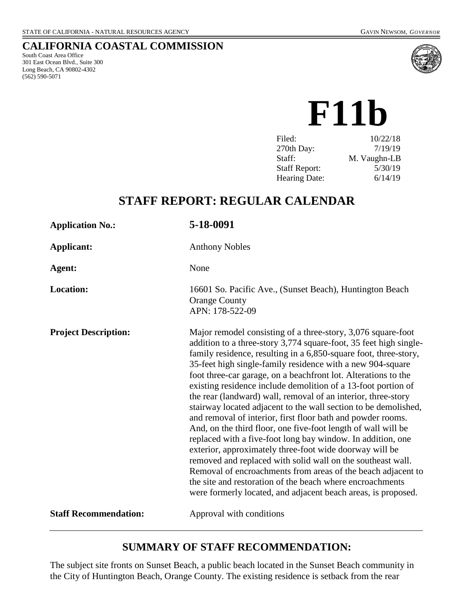### **CALIFORNIA COASTAL COMMISSION**

South Coast Area Office 301 East Ocean Blvd., Suite 300 Long Beach, CA 90802-4302 (562) 590-5071



**F11b**

| 10/22/18     |
|--------------|
| 7/19/19      |
| M. Vaughn-LB |
| 5/30/19      |
| 6/14/19      |
|              |

# **STAFF REPORT: REGULAR CALENDAR**

| <b>Application No.:</b>      | 5-18-0091                                                                                                                                                                                                                                                                                                                                                                                                                                                                                                                                                                                                                                                                                                                                                                                                                                                                                                                                                                                                                                                         |
|------------------------------|-------------------------------------------------------------------------------------------------------------------------------------------------------------------------------------------------------------------------------------------------------------------------------------------------------------------------------------------------------------------------------------------------------------------------------------------------------------------------------------------------------------------------------------------------------------------------------------------------------------------------------------------------------------------------------------------------------------------------------------------------------------------------------------------------------------------------------------------------------------------------------------------------------------------------------------------------------------------------------------------------------------------------------------------------------------------|
| <b>Applicant:</b>            | <b>Anthony Nobles</b>                                                                                                                                                                                                                                                                                                                                                                                                                                                                                                                                                                                                                                                                                                                                                                                                                                                                                                                                                                                                                                             |
| Agent:                       | None                                                                                                                                                                                                                                                                                                                                                                                                                                                                                                                                                                                                                                                                                                                                                                                                                                                                                                                                                                                                                                                              |
| Location:                    | 16601 So. Pacific Ave., (Sunset Beach), Huntington Beach<br><b>Orange County</b><br>APN: 178-522-09                                                                                                                                                                                                                                                                                                                                                                                                                                                                                                                                                                                                                                                                                                                                                                                                                                                                                                                                                               |
| <b>Project Description:</b>  | Major remodel consisting of a three-story, 3,076 square-foot<br>addition to a three-story 3,774 square-foot, 35 feet high single-<br>family residence, resulting in a 6,850-square foot, three-story,<br>35-feet high single-family residence with a new 904-square<br>foot three-car garage, on a beachfront lot. Alterations to the<br>existing residence include demolition of a 13-foot portion of<br>the rear (landward) wall, removal of an interior, three-story<br>stairway located adjacent to the wall section to be demolished,<br>and removal of interior, first floor bath and powder rooms.<br>And, on the third floor, one five-foot length of wall will be<br>replaced with a five-foot long bay window. In addition, one<br>exterior, approximately three-foot wide doorway will be<br>removed and replaced with solid wall on the southeast wall.<br>Removal of encroachments from areas of the beach adjacent to<br>the site and restoration of the beach where encroachments<br>were formerly located, and adjacent beach areas, is proposed. |
| <b>Staff Recommendation:</b> | Approval with conditions                                                                                                                                                                                                                                                                                                                                                                                                                                                                                                                                                                                                                                                                                                                                                                                                                                                                                                                                                                                                                                          |

## **SUMMARY OF STAFF RECOMMENDATION:**

The subject site fronts on Sunset Beach, a public beach located in the Sunset Beach community in the City of Huntington Beach, Orange County. The existing residence is setback from the rear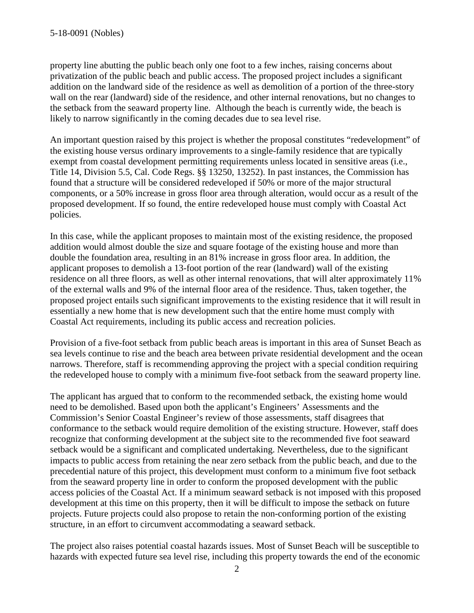property line abutting the public beach only one foot to a few inches, raising concerns about privatization of the public beach and public access. The proposed project includes a significant addition on the landward side of the residence as well as demolition of a portion of the three-story wall on the rear (landward) side of the residence, and other internal renovations, but no changes to the setback from the seaward property line. Although the beach is currently wide, the beach is likely to narrow significantly in the coming decades due to sea level rise.

An important question raised by this project is whether the proposal constitutes "redevelopment" of the existing house versus ordinary improvements to a single-family residence that are typically exempt from coastal development permitting requirements unless located in sensitive areas (i.e., Title 14, Division 5.5, Cal. Code Regs. §§ 13250, 13252). In past instances, the Commission has found that a structure will be considered redeveloped if 50% or more of the major structural components, or a 50% increase in gross floor area through alteration, would occur as a result of the proposed development. If so found, the entire redeveloped house must comply with Coastal Act policies.

In this case, while the applicant proposes to maintain most of the existing residence, the proposed addition would almost double the size and square footage of the existing house and more than double the foundation area, resulting in an 81% increase in gross floor area. In addition, the applicant proposes to demolish a 13-foot portion of the rear (landward) wall of the existing residence on all three floors, as well as other internal renovations, that will alter approximately 11% of the external walls and 9% of the internal floor area of the residence. Thus, taken together, the proposed project entails such significant improvements to the existing residence that it will result in essentially a new home that is new development such that the entire home must comply with Coastal Act requirements, including its public access and recreation policies.

Provision of a five-foot setback from public beach areas is important in this area of Sunset Beach as sea levels continue to rise and the beach area between private residential development and the ocean narrows. Therefore, staff is recommending approving the project with a special condition requiring the redeveloped house to comply with a minimum five-foot setback from the seaward property line.

The applicant has argued that to conform to the recommended setback, the existing home would need to be demolished. Based upon both the applicant's Engineers' Assessments and the Commission's Senior Coastal Engineer's review of those assessments, staff disagrees that conformance to the setback would require demolition of the existing structure. However, staff does recognize that conforming development at the subject site to the recommended five foot seaward setback would be a significant and complicated undertaking. Nevertheless, due to the significant impacts to public access from retaining the near zero setback from the public beach, and due to the precedential nature of this project, this development must conform to a minimum five foot setback from the seaward property line in order to conform the proposed development with the public access policies of the Coastal Act. If a minimum seaward setback is not imposed with this proposed development at this time on this property, then it will be difficult to impose the setback on future projects. Future projects could also propose to retain the non-conforming portion of the existing structure, in an effort to circumvent accommodating a seaward setback.

The project also raises potential coastal hazards issues. Most of Sunset Beach will be susceptible to hazards with expected future sea level rise, including this property towards the end of the economic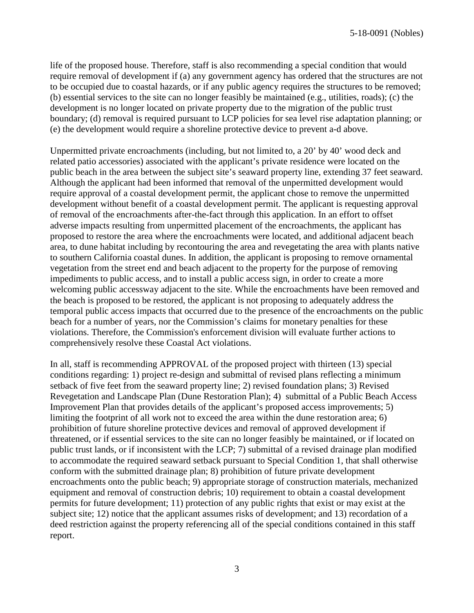life of the proposed house. Therefore, staff is also recommending a special condition that would require removal of development if (a) any government agency has ordered that the structures are not to be occupied due to coastal hazards, or if any public agency requires the structures to be removed; (b) essential services to the site can no longer feasibly be maintained (e.g., utilities, roads); (c) the development is no longer located on private property due to the migration of the public trust boundary; (d) removal is required pursuant to LCP policies for sea level rise adaptation planning; or (e) the development would require a shoreline protective device to prevent a-d above.

Unpermitted private encroachments (including, but not limited to, a 20' by 40' wood deck and related patio accessories) associated with the applicant's private residence were located on the public beach in the area between the subject site's seaward property line, extending 37 feet seaward. Although the applicant had been informed that removal of the unpermitted development would require approval of a coastal development permit, the applicant chose to remove the unpermitted development without benefit of a coastal development permit. The applicant is requesting approval of removal of the encroachments after-the-fact through this application. In an effort to offset adverse impacts resulting from unpermitted placement of the encroachments, the applicant has proposed to restore the area where the encroachments were located, and additional adjacent beach area, to dune habitat including by recontouring the area and revegetating the area with plants native to southern California coastal dunes. In addition, the applicant is proposing to remove ornamental vegetation from the street end and beach adjacent to the property for the purpose of removing impediments to public access, and to install a public access sign, in order to create a more welcoming public accessway adjacent to the site. While the encroachments have been removed and the beach is proposed to be restored, the applicant is not proposing to adequately address the temporal public access impacts that occurred due to the presence of the encroachments on the public beach for a number of years, nor the Commission's claims for monetary penalties for these violations. Therefore, the Commission's enforcement division will evaluate further actions to comprehensively resolve these Coastal Act violations.

In all, staff is recommending APPROVAL of the proposed project with thirteen (13) special conditions regarding: 1) project re-design and submittal of revised plans reflecting a minimum setback of five feet from the seaward property line; 2) revised foundation plans; 3) Revised Revegetation and Landscape Plan (Dune Restoration Plan); 4) submittal of a Public Beach Access Improvement Plan that provides details of the applicant's proposed access improvements; 5) limiting the footprint of all work not to exceed the area within the dune restoration area; 6) prohibition of future shoreline protective devices and removal of approved development if threatened, or if essential services to the site can no longer feasibly be maintained, or if located on public trust lands, or if inconsistent with the LCP; 7) submittal of a revised drainage plan modified to accommodate the required seaward setback pursuant to Special Condition 1, that shall otherwise conform with the submitted drainage plan; 8) prohibition of future private development encroachments onto the public beach; 9) appropriate storage of construction materials, mechanized equipment and removal of construction debris; 10) requirement to obtain a coastal development permits for future development; 11) protection of any public rights that exist or may exist at the subject site; 12) notice that the applicant assumes risks of development; and 13) recordation of a deed restriction against the property referencing all of the special conditions contained in this staff report.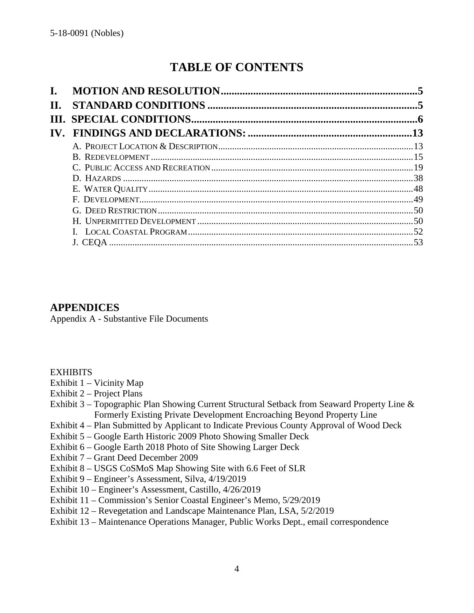# **TABLE OF CONTENTS**

| $\mathbf{I}$ . |  |
|----------------|--|
| Н.             |  |
|                |  |
|                |  |
|                |  |
|                |  |
|                |  |
|                |  |
|                |  |
|                |  |
|                |  |
|                |  |
|                |  |
|                |  |

## **APPENDICES**

Appendix A - Substantive File Documents

#### **EXHIBITS**

- Exhibit 1 Vicinity Map
- Exhibit 2 Project Plans
- Exhibit 3 Topographic Plan Showing Current Structural Setback from Seaward Property Line & Formerly Existing Private Development Encroaching Beyond Property Line
- Exhibit 4 Plan Submitted by Applicant to Indicate Previous County Approval of Wood Deck
- Exhibit 5 Google Earth Historic 2009 Photo Showing Smaller Deck
- Exhibit 6 Google Earth 2018 Photo of Site Showing Larger Deck
- Exhibit 7 Grant Deed December 2009
- Exhibit 8 USGS CoSMoS Map Showing Site with 6.6 Feet of SLR
- Exhibit 9 Engineer's Assessment, Silva, 4/19/2019
- Exhibit 10 Engineer's Assessment, Castillo, 4/26/2019
- Exhibit 11 Commission's Senior Coastal Engineer's Memo, 5/29/2019
- Exhibit 12 Revegetation and Landscape Maintenance Plan, LSA, 5/2/2019
- Exhibit 13 Maintenance Operations Manager, Public Works Dept., email correspondence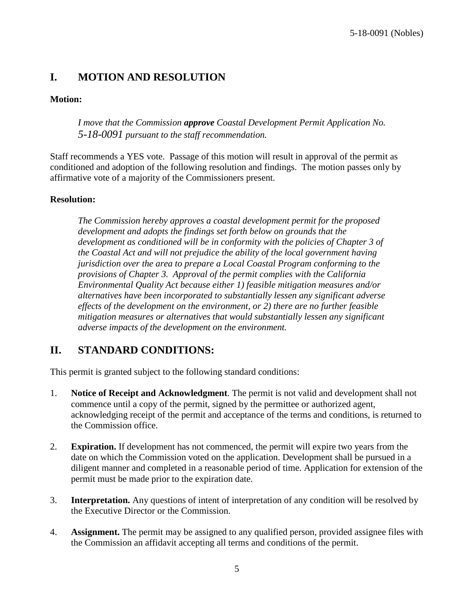## <span id="page-4-0"></span>**I. MOTION AND RESOLUTION**

## **Motion:**

*I move that the Commission approve Coastal Development Permit Application No. 5-18-0091 pursuant to the staff recommendation.*

Staff recommends a YES vote. Passage of this motion will result in approval of the permit as conditioned and adoption of the following resolution and findings. The motion passes only by affirmative vote of a majority of the Commissioners present.

#### **Resolution:**

*The Commission hereby approves a coastal development permit for the proposed development and adopts the findings set forth below on grounds that the development as conditioned will be in conformity with the policies of Chapter 3 of the Coastal Act and will not prejudice the ability of the local government having jurisdiction over the area to prepare a Local Coastal Program conforming to the provisions of Chapter 3. Approval of the permit complies with the California Environmental Quality Act because either 1) feasible mitigation measures and/or alternatives have been incorporated to substantially lessen any significant adverse effects of the development on the environment, or 2) there are no further feasible mitigation measures or alternatives that would substantially lessen any significant adverse impacts of the development on the environment.*

## <span id="page-4-1"></span>**II. STANDARD CONDITIONS:**

This permit is granted subject to the following standard conditions:

- 1. **Notice of Receipt and Acknowledgment**. The permit is not valid and development shall not commence until a copy of the permit, signed by the permittee or authorized agent, acknowledging receipt of the permit and acceptance of the terms and conditions, is returned to the Commission office.
- 2. **Expiration.** If development has not commenced, the permit will expire two years from the date on which the Commission voted on the application. Development shall be pursued in a diligent manner and completed in a reasonable period of time. Application for extension of the permit must be made prior to the expiration date.
- 3. **Interpretation.** Any questions of intent of interpretation of any condition will be resolved by the Executive Director or the Commission.
- 4. **Assignment.** The permit may be assigned to any qualified person, provided assignee files with the Commission an affidavit accepting all terms and conditions of the permit.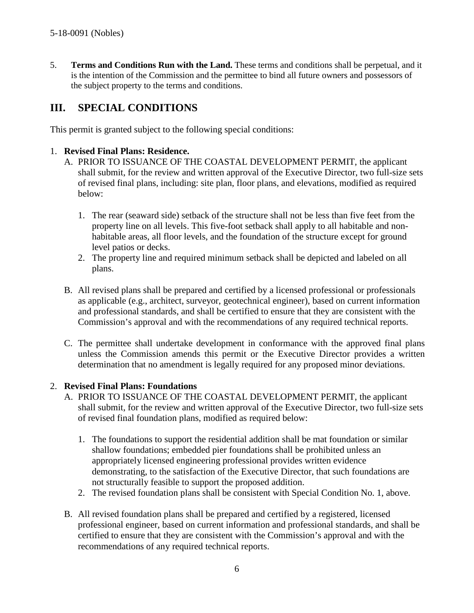5. **Terms and Conditions Run with the Land.** These terms and conditions shall be perpetual, and it is the intention of the Commission and the permittee to bind all future owners and possessors of the subject property to the terms and conditions.

## <span id="page-5-0"></span>**III. SPECIAL CONDITIONS**

This permit is granted subject to the following special conditions:

#### 1. **Revised Final Plans: Residence.**

- A. PRIOR TO ISSUANCE OF THE COASTAL DEVELOPMENT PERMIT, the applicant shall submit, for the review and written approval of the Executive Director, two full-size sets of revised final plans, including: site plan, floor plans, and elevations, modified as required below:
	- 1. The rear (seaward side) setback of the structure shall not be less than five feet from the property line on all levels. This five-foot setback shall apply to all habitable and nonhabitable areas, all floor levels, and the foundation of the structure except for ground level patios or decks.
	- 2. The property line and required minimum setback shall be depicted and labeled on all plans.
- B. All revised plans shall be prepared and certified by a licensed professional or professionals as applicable (e.g., architect, surveyor, geotechnical engineer), based on current information and professional standards, and shall be certified to ensure that they are consistent with the Commission's approval and with the recommendations of any required technical reports.
- C. The permittee shall undertake development in conformance with the approved final plans unless the Commission amends this permit or the Executive Director provides a written determination that no amendment is legally required for any proposed minor deviations.

#### 2. **Revised Final Plans: Foundations**

- A. PRIOR TO ISSUANCE OF THE COASTAL DEVELOPMENT PERMIT, the applicant shall submit, for the review and written approval of the Executive Director, two full-size sets of revised final foundation plans, modified as required below:
	- 1. The foundations to support the residential addition shall be mat foundation or similar shallow foundations; embedded pier foundations shall be prohibited unless an appropriately licensed engineering professional provides written evidence demonstrating, to the satisfaction of the Executive Director, that such foundations are not structurally feasible to support the proposed addition.
	- 2. The revised foundation plans shall be consistent with Special Condition No. 1, above.
- B. All revised foundation plans shall be prepared and certified by a registered, licensed professional engineer, based on current information and professional standards, and shall be certified to ensure that they are consistent with the Commission's approval and with the recommendations of any required technical reports.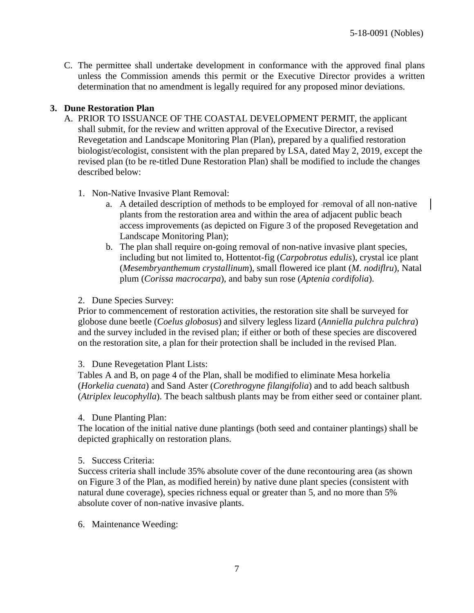C. The permittee shall undertake development in conformance with the approved final plans unless the Commission amends this permit or the Executive Director provides a written determination that no amendment is legally required for any proposed minor deviations.

#### **3. Dune Restoration Plan**

- A. PRIOR TO ISSUANCE OF THE COASTAL DEVELOPMENT PERMIT, the applicant shall submit, for the review and written approval of the Executive Director, a revised Revegetation and Landscape Monitoring Plan (Plan), prepared by a qualified restoration biologist/ecologist, consistent with the plan prepared by LSA, dated May 2, 2019, except the revised plan (to be re-titled Dune Restoration Plan) shall be modified to include the changes described below:
	- 1. Non-Native Invasive Plant Removal:
		- a. A detailed description of methods to be employed for removal of all non-native plants from the restoration area and within the area of adjacent public beach access improvements (as depicted on Figure 3 of the proposed Revegetation and Landscape Monitoring Plan);
		- b. The plan shall require on-going removal of non-native invasive plant species, including but not limited to, Hottentot-fig (*Carpobrotus edulis*), crystal ice plant (*Mesembryanthemum crystallinum*), small flowered ice plant (*M. nodiflru*), Natal plum (*Corissa macrocarpa*), and baby sun rose (*Aptenia cordifolia*).

2. Dune Species Survey:

Prior to commencement of restoration activities, the restoration site shall be surveyed for globose dune beetle (*Coelus globosus*) and silvery legless lizard (*Anniella pulchra pulchra*) and the survey included in the revised plan; if either or both of these species are discovered on the restoration site, a plan for their protection shall be included in the revised Plan.

#### 3. Dune Revegetation Plant Lists:

Tables A and B, on page 4 of the Plan, shall be modified to eliminate Mesa horkelia (*Horkelia cuenata*) and Sand Aster (*Corethrogyne filangifolia*) and to add beach saltbush (*Atriplex leucophylla*). The beach saltbush plants may be from either seed or container plant.

4. Dune Planting Plan:

The location of the initial native dune plantings (both seed and container plantings) shall be depicted graphically on restoration plans.

#### 5. Success Criteria:

Success criteria shall include 35% absolute cover of the dune recontouring area (as shown on Figure 3 of the Plan, as modified herein) by native dune plant species (consistent with natural dune coverage), species richness equal or greater than 5, and no more than 5% absolute cover of non-native invasive plants.

6. Maintenance Weeding: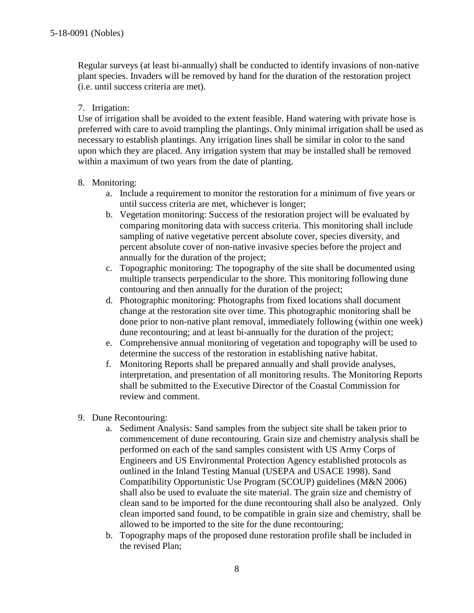Regular surveys (at least bi-annually) shall be conducted to identify invasions of non-native plant species. Invaders will be removed by hand for the duration of the restoration project (i.e. until success criteria are met).

#### 7. Irrigation:

Use of irrigation shall be avoided to the extent feasible. Hand watering with private hose is preferred with care to avoid trampling the plantings. Only minimal irrigation shall be used as necessary to establish plantings. Any irrigation lines shall be similar in color to the sand upon which they are placed. Any irrigation system that may be installed shall be removed within a maximum of two years from the date of planting.

#### 8. Monitoring:

- a. Include a requirement to monitor the restoration for a minimum of five years or until success criteria are met, whichever is longer;
- b. Vegetation monitoring: Success of the restoration project will be evaluated by comparing monitoring data with success criteria. This monitoring shall include sampling of native vegetative percent absolute cover, species diversity, and percent absolute cover of non-native invasive species before the project and annually for the duration of the project;
- c. Topographic monitoring: The topography of the site shall be documented using multiple transects perpendicular to the shore. This monitoring following dune contouring and then annually for the duration of the project;
- d. Photographic monitoring: Photographs from fixed locations shall document change at the restoration site over time. This photographic monitoring shall be done prior to non-native plant removal, immediately following (within one week) dune recontouring; and at least bi-annually for the duration of the project;
- e. Comprehensive annual monitoring of vegetation and topography will be used to determine the success of the restoration in establishing native habitat.
- f. Monitoring Reports shall be prepared annually and shall provide analyses, interpretation, and presentation of all monitoring results. The Monitoring Reports shall be submitted to the Executive Director of the Coastal Commission for review and comment.
- 9. Dune Recontouring:
	- a. Sediment Analysis: Sand samples from the subject site shall be taken prior to commencement of dune recontouring. Grain size and chemistry analysis shall be performed on each of the sand samples consistent with US Army Corps of Engineers and US Environmental Protection Agency established protocols as outlined in the Inland Testing Manual (USEPA and USACE 1998). Sand Compatibility Opportunistic Use Program (SCOUP) guidelines (M&N 2006) shall also be used to evaluate the site material. The grain size and chemistry of clean sand to be imported for the dune recontouring shall also be analyzed. Only clean imported sand found, to be compatible in grain size and chemistry, shall be allowed to be imported to the site for the dune recontouring;
	- b. Topography maps of the proposed dune restoration profile shall be included in the revised Plan;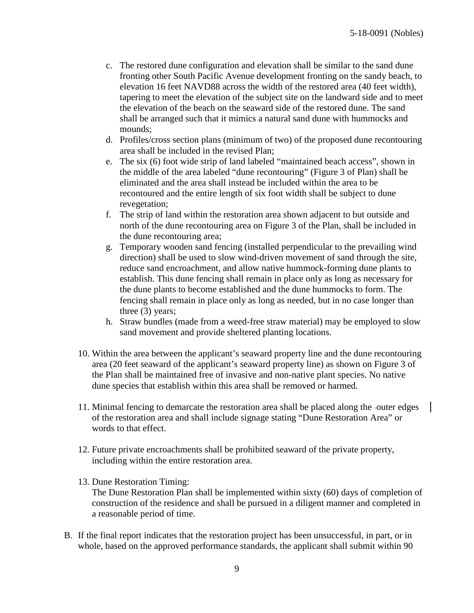- c. The restored dune configuration and elevation shall be similar to the sand dune fronting other South Pacific Avenue development fronting on the sandy beach, to elevation 16 feet NAVD88 across the width of the restored area (40 feet width), tapering to meet the elevation of the subject site on the landward side and to meet the elevation of the beach on the seaward side of the restored dune. The sand shall be arranged such that it mimics a natural sand dune with hummocks and mounds;
- d. Profiles/cross section plans (minimum of two) of the proposed dune recontouring area shall be included in the revised Plan;
- e. The six (6) foot wide strip of land labeled "maintained beach access", shown in the middle of the area labeled "dune recontouring" (Figure 3 of Plan) shall be eliminated and the area shall instead be included within the area to be recontoured and the entire length of six foot width shall be subject to dune revegetation;
- f. The strip of land within the restoration area shown adjacent to but outside and north of the dune recontouring area on Figure 3 of the Plan, shall be included in the dune recontouring area;
- g. Temporary wooden sand fencing (installed perpendicular to the prevailing wind direction) shall be used to slow wind-driven movement of sand through the site, reduce sand encroachment, and allow native hummock-forming dune plants to establish. This dune fencing shall remain in place only as long as necessary for the dune plants to become established and the dune hummocks to form. The fencing shall remain in place only as long as needed, but in no case longer than three (3) years;
- h. Straw bundles (made from a weed-free straw material) may be employed to slow sand movement and provide sheltered planting locations.
- 10. Within the area between the applicant's seaward property line and the dune recontouring area (20 feet seaward of the applicant's seaward property line) as shown on Figure 3 of the Plan shall be maintained free of invasive and non-native plant species. No native dune species that establish within this area shall be removed or harmed.
- 11. Minimal fencing to demarcate the restoration area shall be placed along the -outer edges of the restoration area and shall include signage stating "Dune Restoration Area" or words to that effect.
- 12. Future private encroachments shall be prohibited seaward of the private property, including within the entire restoration area.
- 13. Dune Restoration Timing:

The Dune Restoration Plan shall be implemented within sixty (60) days of completion of construction of the residence and shall be pursued in a diligent manner and completed in a reasonable period of time.

B. If the final report indicates that the restoration project has been unsuccessful, in part, or in whole, based on the approved performance standards, the applicant shall submit within 90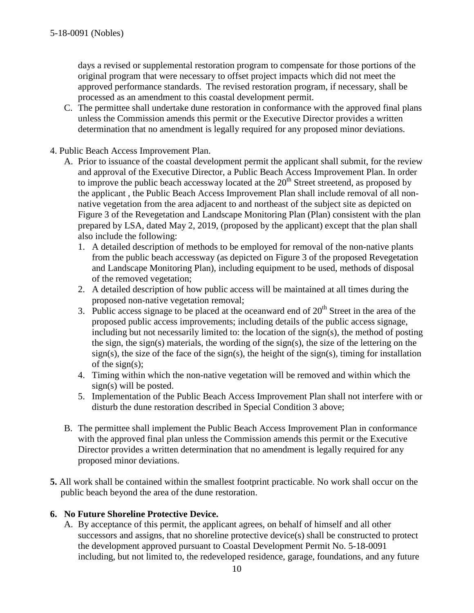days a revised or supplemental restoration program to compensate for those portions of the original program that were necessary to offset project impacts which did not meet the approved performance standards. The revised restoration program, if necessary, shall be processed as an amendment to this coastal development permit.

- C. The permittee shall undertake dune restoration in conformance with the approved final plans unless the Commission amends this permit or the Executive Director provides a written determination that no amendment is legally required for any proposed minor deviations.
- 4. Public Beach Access Improvement Plan.
	- A. Prior to issuance of the coastal development permit the applicant shall submit, for the review and approval of the Executive Director, a Public Beach Access Improvement Plan. In order to improve the public beach accessway located at the  $20<sup>th</sup>$  Street streetend, as proposed by the applicant , the Public Beach Access Improvement Plan shall include removal of all nonnative vegetation from the area adjacent to and northeast of the subject site as depicted on Figure 3 of the Revegetation and Landscape Monitoring Plan (Plan) consistent with the plan prepared by LSA, dated May 2, 2019, (proposed by the applicant) except that the plan shall also include the following:
		- 1. A detailed description of methods to be employed for removal of the non-native plants from the public beach accessway (as depicted on Figure 3 of the proposed Revegetation and Landscape Monitoring Plan), including equipment to be used, methods of disposal of the removed vegetation;
		- 2. A detailed description of how public access will be maintained at all times during the proposed non-native vegetation removal;
		- 3. Public access signage to be placed at the oceanward end of  $20<sup>th</sup>$  Street in the area of the proposed public access improvements; including details of the public access signage, including but not necessarily limited to: the location of the sign(s), the method of posting the sign, the sign(s) materials, the wording of the sign(s), the size of the lettering on the sign(s), the size of the face of the sign(s), the height of the sign(s), timing for installation of the sign(s);
		- 4. Timing within which the non-native vegetation will be removed and within which the sign(s) will be posted.
		- 5. Implementation of the Public Beach Access Improvement Plan shall not interfere with or disturb the dune restoration described in Special Condition 3 above;
	- B. The permittee shall implement the Public Beach Access Improvement Plan in conformance with the approved final plan unless the Commission amends this permit or the Executive Director provides a written determination that no amendment is legally required for any proposed minor deviations.
- **5.** All work shall be contained within the smallest footprint practicable. No work shall occur on the public beach beyond the area of the dune restoration.

#### **6. No Future Shoreline Protective Device.**

A. By acceptance of this permit, the applicant agrees, on behalf of himself and all other successors and assigns, that no shoreline protective device(s) shall be constructed to protect the development approved pursuant to Coastal Development Permit No. 5-18-0091 including, but not limited to, the redeveloped residence, garage, foundations, and any future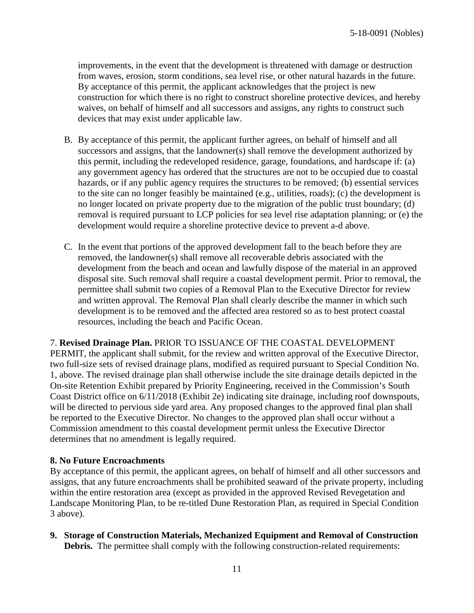improvements, in the event that the development is threatened with damage or destruction from waves, erosion, storm conditions, sea level rise, or other natural hazards in the future. By acceptance of this permit, the applicant acknowledges that the project is new construction for which there is no right to construct shoreline protective devices, and hereby waives, on behalf of himself and all successors and assigns, any rights to construct such devices that may exist under applicable law.

- B. By acceptance of this permit, the applicant further agrees, on behalf of himself and all successors and assigns, that the landowner(s) shall remove the development authorized by this permit, including the redeveloped residence, garage, foundations, and hardscape if: (a) any government agency has ordered that the structures are not to be occupied due to coastal hazards, or if any public agency requires the structures to be removed; (b) essential services to the site can no longer feasibly be maintained (e.g., utilities, roads); (c) the development is no longer located on private property due to the migration of the public trust boundary; (d) removal is required pursuant to LCP policies for sea level rise adaptation planning; or (e) the development would require a shoreline protective device to prevent a-d above.
- C. In the event that portions of the approved development fall to the beach before they are removed, the landowner(s) shall remove all recoverable debris associated with the development from the beach and ocean and lawfully dispose of the material in an approved disposal site. Such removal shall require a coastal development permit. Prior to removal, the permittee shall submit two copies of a Removal Plan to the Executive Director for review and written approval. The Removal Plan shall clearly describe the manner in which such development is to be removed and the affected area restored so as to best protect coastal resources, including the beach and Pacific Ocean.

7. **Revised Drainage Plan.** PRIOR TO ISSUANCE OF THE COASTAL DEVELOPMENT PERMIT, the applicant shall submit, for the review and written approval of the Executive Director, two full-size sets of revised drainage plans, modified as required pursuant to Special Condition No. 1, above. The revised drainage plan shall otherwise include the site drainage details depicted in the On-site Retention Exhibit prepared by Priority Engineering, received in the Commission's South Coast District office on 6/11/2018 (Exhibit 2e) indicating site drainage, including roof downspouts, will be directed to pervious side yard area. Any proposed changes to the approved final plan shall be reported to the Executive Director. No changes to the approved plan shall occur without a Commission amendment to this coastal development permit unless the Executive Director determines that no amendment is legally required.

#### **8. No Future Encroachments**

By acceptance of this permit, the applicant agrees, on behalf of himself and all other successors and assigns, that any future encroachments shall be prohibited seaward of the private property, including within the entire restoration area (except as provided in the approved Revised Revegetation and Landscape Monitoring Plan, to be re-titled Dune Restoration Plan, as required in Special Condition 3 above).

**9. Storage of Construction Materials, Mechanized Equipment and Removal of Construction Debris.** The permittee shall comply with the following construction-related requirements: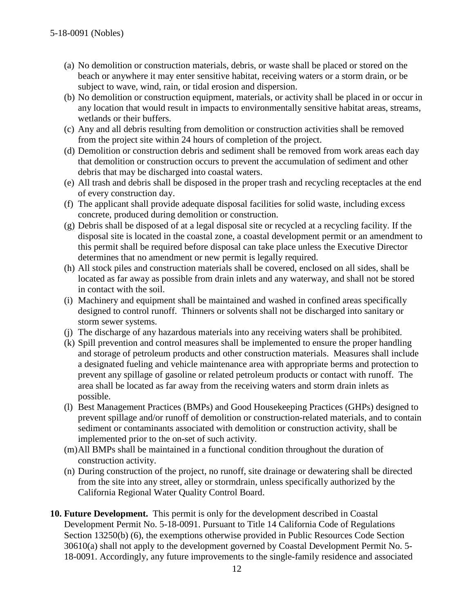- (a) No demolition or construction materials, debris, or waste shall be placed or stored on the beach or anywhere it may enter sensitive habitat, receiving waters or a storm drain, or be subject to wave, wind, rain, or tidal erosion and dispersion.
- (b) No demolition or construction equipment, materials, or activity shall be placed in or occur in any location that would result in impacts to environmentally sensitive habitat areas, streams, wetlands or their buffers.
- (c) Any and all debris resulting from demolition or construction activities shall be removed from the project site within 24 hours of completion of the project.
- (d) Demolition or construction debris and sediment shall be removed from work areas each day that demolition or construction occurs to prevent the accumulation of sediment and other debris that may be discharged into coastal waters.
- (e) All trash and debris shall be disposed in the proper trash and recycling receptacles at the end of every construction day.
- (f) The applicant shall provide adequate disposal facilities for solid waste, including excess concrete, produced during demolition or construction.
- (g) Debris shall be disposed of at a legal disposal site or recycled at a recycling facility. If the disposal site is located in the coastal zone, a coastal development permit or an amendment to this permit shall be required before disposal can take place unless the Executive Director determines that no amendment or new permit is legally required.
- (h) All stock piles and construction materials shall be covered, enclosed on all sides, shall be located as far away as possible from drain inlets and any waterway, and shall not be stored in contact with the soil.
- (i) Machinery and equipment shall be maintained and washed in confined areas specifically designed to control runoff. Thinners or solvents shall not be discharged into sanitary or storm sewer systems.
- (j) The discharge of any hazardous materials into any receiving waters shall be prohibited.
- (k) Spill prevention and control measures shall be implemented to ensure the proper handling and storage of petroleum products and other construction materials. Measures shall include a designated fueling and vehicle maintenance area with appropriate berms and protection to prevent any spillage of gasoline or related petroleum products or contact with runoff. The area shall be located as far away from the receiving waters and storm drain inlets as possible.
- (l) Best Management Practices (BMPs) and Good Housekeeping Practices (GHPs) designed to prevent spillage and/or runoff of demolition or construction-related materials, and to contain sediment or contaminants associated with demolition or construction activity, shall be implemented prior to the on-set of such activity.
- (m)All BMPs shall be maintained in a functional condition throughout the duration of construction activity.
- (n) During construction of the project, no runoff, site drainage or dewatering shall be directed from the site into any street, alley or stormdrain, unless specifically authorized by the California Regional Water Quality Control Board.
- **10. Future Development.** This permit is only for the development described in Coastal Development Permit No. 5-18-0091. Pursuant to Title 14 California Code of Regulations Section 13250(b) (6), the exemptions otherwise provided in Public Resources Code Section 30610(a) shall not apply to the development governed by Coastal Development Permit No. 5- 18-0091. Accordingly, any future improvements to the single-family residence and associated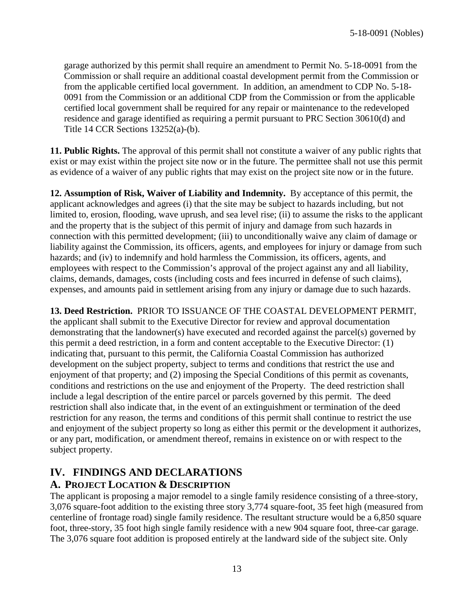garage authorized by this permit shall require an amendment to Permit No. 5-18-0091 from the Commission or shall require an additional coastal development permit from the Commission or from the applicable certified local government. In addition, an amendment to CDP No. 5-18- 0091 from the Commission or an additional CDP from the Commission or from the applicable certified local government shall be required for any repair or maintenance to the redeveloped residence and garage identified as requiring a permit pursuant to PRC Section 30610(d) and Title 14 CCR Sections 13252(a)-(b).

**11. Public Rights.** The approval of this permit shall not constitute a waiver of any public rights that exist or may exist within the project site now or in the future. The permittee shall not use this permit as evidence of a waiver of any public rights that may exist on the project site now or in the future.

**12. Assumption of Risk, Waiver of Liability and Indemnity.** By acceptance of this permit, the applicant acknowledges and agrees (i) that the site may be subject to hazards including, but not limited to, erosion, flooding, wave uprush, and sea level rise; (ii) to assume the risks to the applicant and the property that is the subject of this permit of injury and damage from such hazards in connection with this permitted development; (iii) to unconditionally waive any claim of damage or liability against the Commission, its officers, agents, and employees for injury or damage from such hazards; and (iv) to indemnify and hold harmless the Commission, its officers, agents, and employees with respect to the Commission's approval of the project against any and all liability, claims, demands, damages, costs (including costs and fees incurred in defense of such claims), expenses, and amounts paid in settlement arising from any injury or damage due to such hazards.

**13. Deed Restriction.** PRIOR TO ISSUANCE OF THE COASTAL DEVELOPMENT PERMIT, the applicant shall submit to the Executive Director for review and approval documentation demonstrating that the landowner(s) have executed and recorded against the parcel(s) governed by this permit a deed restriction, in a form and content acceptable to the Executive Director: (1) indicating that, pursuant to this permit, the California Coastal Commission has authorized development on the subject property, subject to terms and conditions that restrict the use and enjoyment of that property; and (2) imposing the Special Conditions of this permit as covenants, conditions and restrictions on the use and enjoyment of the Property. The deed restriction shall include a legal description of the entire parcel or parcels governed by this permit. The deed restriction shall also indicate that, in the event of an extinguishment or termination of the deed restriction for any reason, the terms and conditions of this permit shall continue to restrict the use and enjoyment of the subject property so long as either this permit or the development it authorizes, or any part, modification, or amendment thereof, remains in existence on or with respect to the subject property.

## <span id="page-12-1"></span><span id="page-12-0"></span>**IV. FINDINGS AND DECLARATIONS A. PROJECT LOCATION & DESCRIPTION**

The applicant is proposing a major remodel to a single family residence consisting of a three-story, 3,076 square-foot addition to the existing three story 3,774 square-foot, 35 feet high (measured from centerline of frontage road) single family residence. The resultant structure would be a 6,850 square foot, three-story, 35 foot high single family residence with a new 904 square foot, three-car garage. The 3,076 square foot addition is proposed entirely at the landward side of the subject site. Only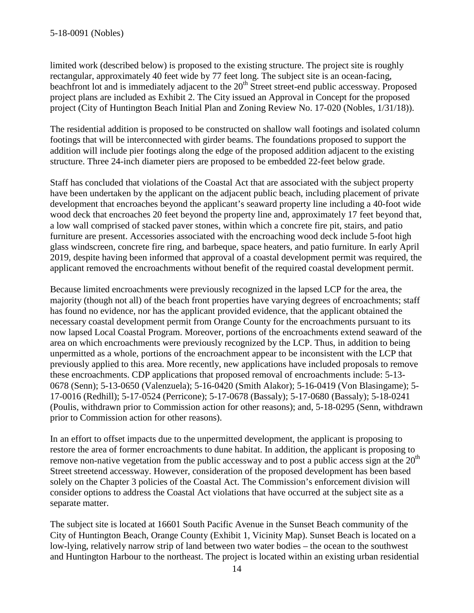limited work (described below) is proposed to the existing structure. The project site is roughly rectangular, approximately 40 feet wide by 77 feet long. The subject site is an ocean-facing, beachfront lot and is immediately adjacent to the 20<sup>th</sup> Street street-end public accessway. Proposed project plans are included as Exhibit 2. The City issued an Approval in Concept for the proposed project (City of Huntington Beach Initial Plan and Zoning Review No. 17-020 (Nobles, 1/31/18)).

The residential addition is proposed to be constructed on shallow wall footings and isolated column footings that will be interconnected with girder beams. The foundations proposed to support the addition will include pier footings along the edge of the proposed addition adjacent to the existing structure. Three 24-inch diameter piers are proposed to be embedded 22-feet below grade.

Staff has concluded that violations of the Coastal Act that are associated with the subject property have been undertaken by the applicant on the adjacent public beach, including placement of private development that encroaches beyond the applicant's seaward property line including a 40-foot wide wood deck that encroaches 20 feet beyond the property line and, approximately 17 feet beyond that, a low wall comprised of stacked paver stones, within which a concrete fire pit, stairs, and patio furniture are present. Accessories associated with the encroaching wood deck include 5-foot high glass windscreen, concrete fire ring, and barbeque, space heaters, and patio furniture. In early April 2019, despite having been informed that approval of a coastal development permit was required, the applicant removed the encroachments without benefit of the required coastal development permit.

Because limited encroachments were previously recognized in the lapsed LCP for the area, the majority (though not all) of the beach front properties have varying degrees of encroachments; staff has found no evidence, nor has the applicant provided evidence, that the applicant obtained the necessary coastal development permit from Orange County for the encroachments pursuant to its now lapsed Local Coastal Program. Moreover, portions of the encroachments extend seaward of the area on which encroachments were previously recognized by the LCP. Thus, in addition to being unpermitted as a whole, portions of the encroachment appear to be inconsistent with the LCP that previously applied to this area. More recently, new applications have included proposals to remove these encroachments. CDP applications that proposed removal of encroachments include: 5-13- 0678 (Senn); 5-13-0650 (Valenzuela); 5-16-0420 (Smith Alakor); 5-16-0419 (Von Blasingame); 5- 17-0016 (Redhill); 5-17-0524 (Perricone); 5-17-0678 (Bassaly); 5-17-0680 (Bassaly); 5-18-0241 (Poulis, withdrawn prior to Commission action for other reasons); and, 5-18-0295 (Senn, withdrawn prior to Commission action for other reasons).

In an effort to offset impacts due to the unpermitted development, the applicant is proposing to restore the area of former encroachments to dune habitat. In addition, the applicant is proposing to remove non-native vegetation from the public accessway and to post a public access sign at the  $20<sup>th</sup>$ Street streetend accessway. However, consideration of the proposed development has been based solely on the Chapter 3 policies of the Coastal Act. The Commission's enforcement division will consider options to address the Coastal Act violations that have occurred at the subject site as a separate matter.

The subject site is located at 16601 South Pacific Avenue in the Sunset Beach community of the City of Huntington Beach, Orange County (Exhibit 1, Vicinity Map). Sunset Beach is located on a low-lying, relatively narrow strip of land between two water bodies – the ocean to the southwest and Huntington Harbour to the northeast. The project is located within an existing urban residential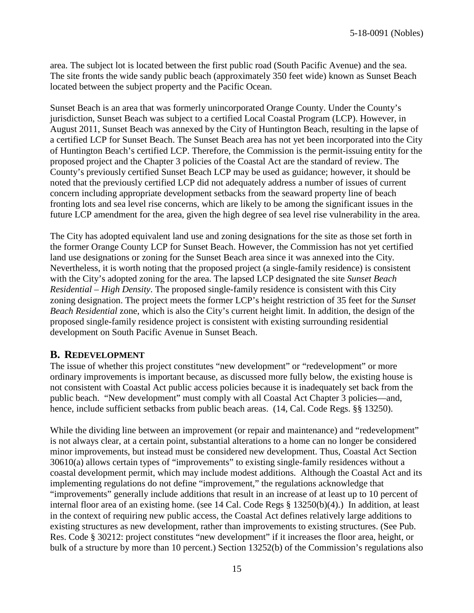area. The subject lot is located between the first public road (South Pacific Avenue) and the sea. The site fronts the wide sandy public beach (approximately 350 feet wide) known as Sunset Beach located between the subject property and the Pacific Ocean.

Sunset Beach is an area that was formerly unincorporated Orange County. Under the County's jurisdiction, Sunset Beach was subject to a certified Local Coastal Program (LCP). However, in August 2011, Sunset Beach was annexed by the City of Huntington Beach, resulting in the lapse of a certified LCP for Sunset Beach. The Sunset Beach area has not yet been incorporated into the City of Huntington Beach's certified LCP. Therefore, the Commission is the permit-issuing entity for the proposed project and the Chapter 3 policies of the Coastal Act are the standard of review. The County's previously certified Sunset Beach LCP may be used as guidance; however, it should be noted that the previously certified LCP did not adequately address a number of issues of current concern including appropriate development setbacks from the seaward property line of beach fronting lots and sea level rise concerns, which are likely to be among the significant issues in the future LCP amendment for the area, given the high degree of sea level rise vulnerability in the area.

The City has adopted equivalent land use and zoning designations for the site as those set forth in the former Orange County LCP for Sunset Beach. However, the Commission has not yet certified land use designations or zoning for the Sunset Beach area since it was annexed into the City. Nevertheless, it is worth noting that the proposed project (a single-family residence) is consistent with the City's adopted zoning for the area. The lapsed LCP designated the site *Sunset Beach Residential – High Density*. The proposed single-family residence is consistent with this City zoning designation. The project meets the former LCP's height restriction of 35 feet for the *Sunset Beach Residential* zone, which is also the City's current height limit. In addition, the design of the proposed single-family residence project is consistent with existing surrounding residential development on South Pacific Avenue in Sunset Beach.

## **B. REDEVELOPMENT**

The issue of whether this project constitutes "new development" or "redevelopment" or more ordinary improvements is important because, as discussed more fully below, the existing house is not consistent with Coastal Act public access policies because it is inadequately set back from the public beach. "New development" must comply with all Coastal Act Chapter 3 policies—and, hence, include sufficient setbacks from public beach areas. (14, Cal. Code Regs. §§ 13250).

While the dividing line between an improvement (or repair and maintenance) and "redevelopment" is not always clear, at a certain point, substantial alterations to a home can no longer be considered minor improvements, but instead must be considered new development. Thus, Coastal Act Section 30610(a) allows certain types of "improvements" to existing single-family residences without a coastal development permit, which may include modest additions. Although the Coastal Act and its implementing regulations do not define "improvement," the regulations acknowledge that "improvements" generally include additions that result in an increase of at least up to 10 percent of internal floor area of an existing home. (see 14 Cal. Code Regs § 13250(b)(4).) In addition, at least in the context of requiring new public access, the Coastal Act defines relatively large additions to existing structures as new development, rather than improvements to existing structures. (See Pub. Res. Code § 30212: project constitutes "new development" if it increases the floor area, height, or bulk of a structure by more than 10 percent.) Section 13252(b) of the Commission's regulations also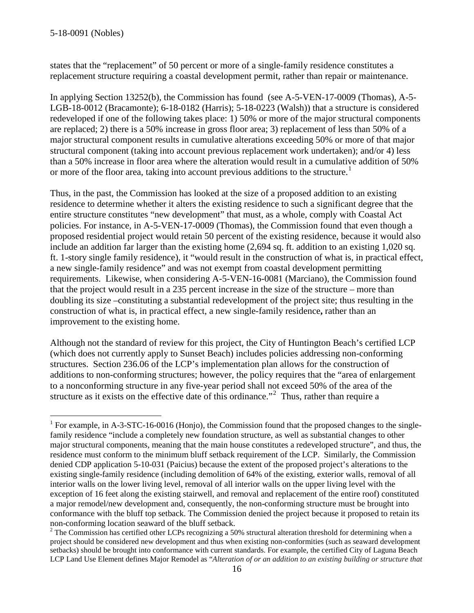states that the "replacement" of 50 percent or more of a single-family residence constitutes a replacement structure requiring a coastal development permit, rather than repair or maintenance.

In applying Section 13252(b), the Commission has found (see A-5-VEN-17-0009 (Thomas), A-5- LGB-18-0012 (Bracamonte); 6-18-0182 (Harris); 5-18-0223 (Walsh)) that a structure is considered redeveloped if one of the following takes place: 1) 50% or more of the major structural components are replaced; 2) there is a 50% increase in gross floor area; 3) replacement of less than 50% of a major structural component results in cumulative alterations exceeding 50% or more of that major structural component (taking into account previous replacement work undertaken); and/or 4) less than a 50% increase in floor area where the alteration would result in a cumulative addition of 50% or more of the floor area, taking into account previous additions to the structure.<sup>[1](#page-15-0)</sup>

Thus, in the past, the Commission has looked at the size of a proposed addition to an existing residence to determine whether it alters the existing residence to such a significant degree that the entire structure constitutes "new development" that must, as a whole, comply with Coastal Act policies. For instance, in A-5-VEN-17-0009 (Thomas), the Commission found that even though a proposed residential project would retain 50 percent of the existing residence, because it would also include an addition far larger than the existing home (2,694 sq. ft. addition to an existing 1,020 sq. ft. 1-story single family residence), it "would result in the construction of what is, in practical effect, a new single-family residence" and was not exempt from coastal development permitting requirements. Likewise, when considering A-5-VEN-16-0081 (Marciano), the Commission found that the project would result in a 235 percent increase in the size of the structure – more than doubling its size –constituting a substantial redevelopment of the project site; thus resulting in the construction of what is, in practical effect, a new single-family residence**,** rather than an improvement to the existing home.

Although not the standard of review for this project, the City of Huntington Beach's certified LCP (which does not currently apply to Sunset Beach) includes policies addressing non-conforming structures. Section 236.06 of the LCP's implementation plan allows for the construction of additions to non-conforming structures; however, the policy requires that the "area of enlargement to a nonconforming structure in any five-year period shall not exceed 50% of the area of the structure as it exists on the effective date of this ordinance."<sup>[2](#page-15-1)</sup> Thus, rather than require a

<span id="page-15-0"></span><sup>&</sup>lt;sup>1</sup> For example, in A-3-STC-16-0016 (Honjo), the Commission found that the proposed changes to the singlefamily residence "include a completely new foundation structure, as well as substantial changes to other major structural components, meaning that the main house constitutes a redeveloped structure", and thus, the residence must conform to the minimum bluff setback requirement of the LCP. Similarly, the Commission denied CDP application 5-10-031 (Paicius) because the extent of the proposed project's alterations to the existing single-family residence (including demolition of 64% of the existing, exterior walls, removal of all interior walls on the lower living level, removal of all interior walls on the upper living level with the exception of 16 feet along the existing stairwell, and removal and replacement of the entire roof) constituted a major remodel/new development and, consequently, the non-conforming structure must be brought into conformance with the bluff top setback. The Commission denied the project because it proposed to retain its non-conforming location seaward of the bluff setback.<br><sup>2</sup> The Commission has certified other LCPs recognizing a 50% structural alteration threshold for determining when a

<span id="page-15-1"></span>project should be considered new development and thus when existing non-conformities (such as seaward development setbacks) should be brought into conformance with current standards. For example, the certified City of Laguna Beach LCP Land Use Element defines Major Remodel as "*Alteration of or an addition to an existing building or structure that*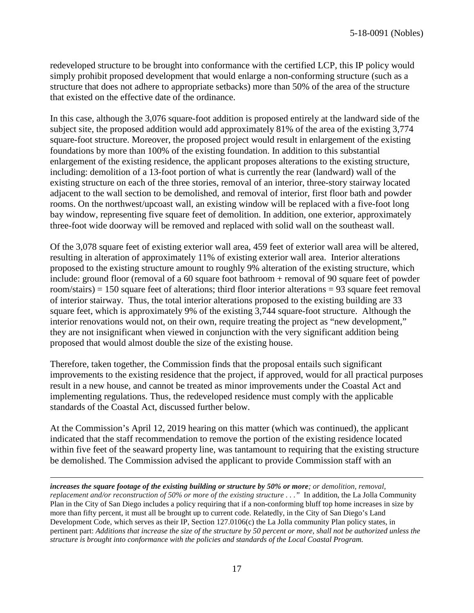redeveloped structure to be brought into conformance with the certified LCP, this IP policy would simply prohibit proposed development that would enlarge a non-conforming structure (such as a structure that does not adhere to appropriate setbacks) more than 50% of the area of the structure that existed on the effective date of the ordinance.

In this case, although the 3,076 square-foot addition is proposed entirely at the landward side of the subject site, the proposed addition would add approximately 81% of the area of the existing 3,774 square-foot structure. Moreover, the proposed project would result in enlargement of the existing foundations by more than 100% of the existing foundation. In addition to this substantial enlargement of the existing residence, the applicant proposes alterations to the existing structure, including: demolition of a 13-foot portion of what is currently the rear (landward) wall of the existing structure on each of the three stories, removal of an interior, three-story stairway located adjacent to the wall section to be demolished, and removal of interior, first floor bath and powder rooms. On the northwest/upcoast wall, an existing window will be replaced with a five-foot long bay window, representing five square feet of demolition. In addition, one exterior, approximately three-foot wide doorway will be removed and replaced with solid wall on the southeast wall.

Of the 3,078 square feet of existing exterior wall area, 459 feet of exterior wall area will be altered, resulting in alteration of approximately 11% of existing exterior wall area. Interior alterations proposed to the existing structure amount to roughly 9% alteration of the existing structure, which include: ground floor (removal of a 60 square foot bathroom + removal of 90 square feet of powder room/stairs) = 150 square feet of alterations; third floor interior alterations = 93 square feet removal of interior stairway. Thus, the total interior alterations proposed to the existing building are 33 square feet, which is approximately 9% of the existing 3,744 square-foot structure. Although the interior renovations would not, on their own, require treating the project as "new development," they are not insignificant when viewed in conjunction with the very significant addition being proposed that would almost double the size of the existing house.

Therefore, taken together, the Commission finds that the proposal entails such significant improvements to the existing residence that the project, if approved, would for all practical purposes result in a new house, and cannot be treated as minor improvements under the Coastal Act and implementing regulations. Thus, the redeveloped residence must comply with the applicable standards of the Coastal Act, discussed further below.

At the Commission's April 12, 2019 hearing on this matter (which was continued), the applicant indicated that the staff recommendation to remove the portion of the existing residence located within five feet of the seaward property line, was tantamount to requiring that the existing structure be demolished. The Commission advised the applicant to provide Commission staff with an

<u>.</u> *increases the square footage of the existing building or structure by 50% or more; or demolition, removal, replacement and/or reconstruction of 50% or more of the existing structure . . ."* In addition, the La Jolla Community Plan in the City of San Diego includes a policy requiring that if a non-conforming bluff top home increases in size by more than fifty percent, it must all be brought up to current code. Relatedly, in the City of San Diego's Land Development Code, which serves as their IP, Section 127.0106(c) the La Jolla community Plan policy states, in pertinent part: *Additions that increase the size of the structure by 50 percent or more, shall not be authorized unless the structure is brought into conformance with the policies and standards of the Local Coastal Program.*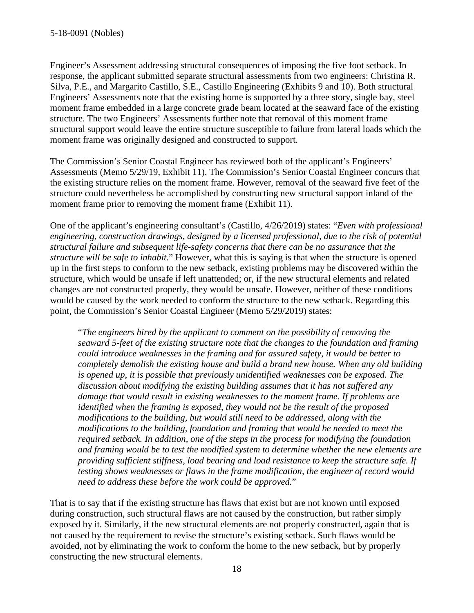Engineer's Assessment addressing structural consequences of imposing the five foot setback. In response, the applicant submitted separate structural assessments from two engineers: Christina R. Silva, P.E., and Margarito Castillo, S.E., Castillo Engineering (Exhibits 9 and 10). Both structural Engineers' Assessments note that the existing home is supported by a three story, single bay, steel moment frame embedded in a large concrete grade beam located at the seaward face of the existing structure. The two Engineers' Assessments further note that removal of this moment frame structural support would leave the entire structure susceptible to failure from lateral loads which the moment frame was originally designed and constructed to support.

The Commission's Senior Coastal Engineer has reviewed both of the applicant's Engineers' Assessments (Memo 5/29/19, Exhibit 11). The Commission's Senior Coastal Engineer concurs that the existing structure relies on the moment frame. However, removal of the seaward five feet of the structure could nevertheless be accomplished by constructing new structural support inland of the moment frame prior to removing the moment frame (Exhibit 11).

One of the applicant's engineering consultant's (Castillo, 4/26/2019) states: "*Even with professional engineering, construction drawings, designed by a licensed professional, due to the risk of potential structural failure and subsequent life-safety concerns that there can be no assurance that the structure will be safe to inhabit.*" However, what this is saying is that when the structure is opened up in the first steps to conform to the new setback, existing problems may be discovered within the structure, which would be unsafe if left unattended; or, if the new structural elements and related changes are not constructed properly, they would be unsafe. However, neither of these conditions would be caused by the work needed to conform the structure to the new setback. Regarding this point, the Commission's Senior Coastal Engineer (Memo 5/29/2019) states:

"*The engineers hired by the applicant to comment on the possibility of removing the seaward 5-feet of the existing structure note that the changes to the foundation and framing could introduce weaknesses in the framing and for assured safety, it would be better to completely demolish the existing house and build a brand new house. When any old building is opened up, it is possible that previously unidentified weaknesses can be exposed. The discussion about modifying the existing building assumes that it has not suffered any damage that would result in existing weaknesses to the moment frame. If problems are identified when the framing is exposed, they would not be the result of the proposed modifications to the building, but would still need to be addressed, along with the modifications to the building, foundation and framing that would be needed to meet the required setback. In addition, one of the steps in the process for modifying the foundation and framing would be to test the modified system to determine whether the new elements are providing sufficient stiffness, load bearing and load resistance to keep the structure safe. If testing shows weaknesses or flaws in the frame modification, the engineer of record would need to address these before the work could be approved.*"

That is to say that if the existing structure has flaws that exist but are not known until exposed during construction, such structural flaws are not caused by the construction, but rather simply exposed by it. Similarly, if the new structural elements are not properly constructed, again that is not caused by the requirement to revise the structure's existing setback. Such flaws would be avoided, not by eliminating the work to conform the home to the new setback, but by properly constructing the new structural elements.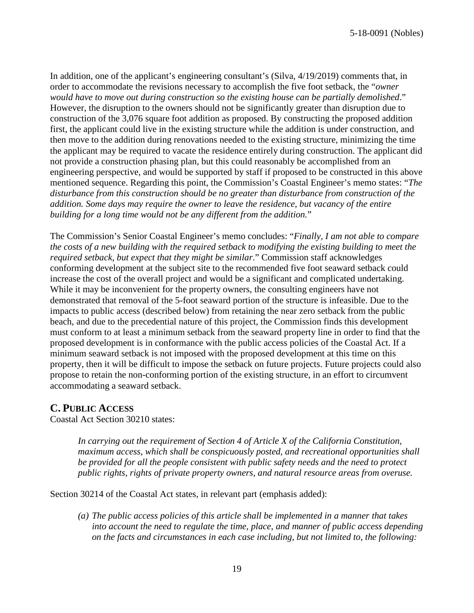In addition, one of the applicant's engineering consultant's (Silva, 4/19/2019) comments that, in order to accommodate the revisions necessary to accomplish the five foot setback, the "*owner would have to move out during construction so the existing house can be partially demolished*." However, the disruption to the owners should not be significantly greater than disruption due to construction of the 3,076 square foot addition as proposed. By constructing the proposed addition first, the applicant could live in the existing structure while the addition is under construction, and then move to the addition during renovations needed to the existing structure, minimizing the time the applicant may be required to vacate the residence entirely during construction. The applicant did not provide a construction phasing plan, but this could reasonably be accomplished from an engineering perspective, and would be supported by staff if proposed to be constructed in this above mentioned sequence. Regarding this point, the Commission's Coastal Engineer's memo states: "*The disturbance from this construction should be no greater than disturbance from construction of the addition. Some days may require the owner to leave the residence, but vacancy of the entire building for a long time would not be any different from the addition.*"

The Commission's Senior Coastal Engineer's memo concludes: "*Finally, I am not able to compare the costs of a new building with the required setback to modifying the existing building to meet the required setback, but expect that they might be similar*." Commission staff acknowledges conforming development at the subject site to the recommended five foot seaward setback could increase the cost of the overall project and would be a significant and complicated undertaking. While it may be inconvenient for the property owners, the consulting engineers have not demonstrated that removal of the 5-foot seaward portion of the structure is infeasible. Due to the impacts to public access (described below) from retaining the near zero setback from the public beach, and due to the precedential nature of this project, the Commission finds this development must conform to at least a minimum setback from the seaward property line in order to find that the proposed development is in conformance with the public access policies of the Coastal Act. If a minimum seaward setback is not imposed with the proposed development at this time on this property, then it will be difficult to impose the setback on future projects. Future projects could also propose to retain the non-conforming portion of the existing structure, in an effort to circumvent accommodating a seaward setback.

## **C. PUBLIC ACCESS**

Coastal Act Section 30210 states:

*In carrying out the requirement of Section 4 of Article X of the California Constitution, maximum access, which shall be conspicuously posted, and recreational opportunities shall be provided for all the people consistent with public safety needs and the need to protect public rights, rights of private property owners, and natural resource areas from overuse.*

Section 30214 of the Coastal Act states, in relevant part (emphasis added):

*(a) The public access policies of this article shall be implemented in a manner that takes into account the need to regulate the time, place, and manner of public access depending on the facts and circumstances in each case including, but not limited to, the following:*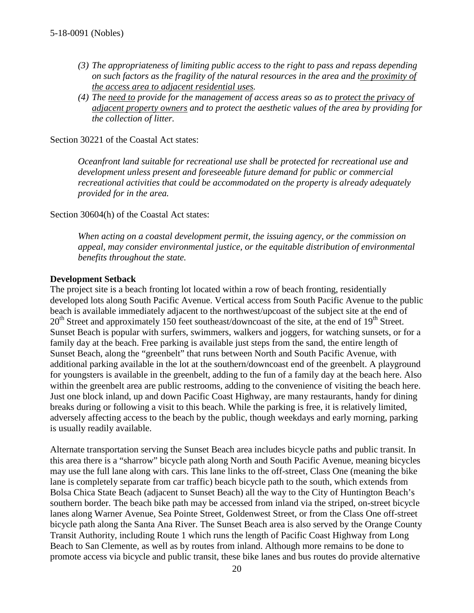- *(3) The appropriateness of limiting public access to the right to pass and repass depending on such factors as the fragility of the natural resources in the area and the proximity of the access area to adjacent residential uses.*
- *(4) The need to provide for the management of access areas so as to protect the privacy of adjacent property owners and to protect the aesthetic values of the area by providing for the collection of litter.*

Section 30221 of the Coastal Act states:

*Oceanfront land suitable for recreational use shall be protected for recreational use and development unless present and foreseeable future demand for public or commercial recreational activities that could be accommodated on the property is already adequately provided for in the area.*

Section 30604(h) of the Coastal Act states:

*When acting on a coastal development permit, the issuing agency, or the commission on appeal, may consider environmental justice, or the equitable distribution of environmental benefits throughout the state.*

#### **Development Setback**

The project site is a beach fronting lot located within a row of beach fronting, residentially developed lots along South Pacific Avenue. Vertical access from South Pacific Avenue to the public beach is available immediately adjacent to the northwest/upcoast of the subject site at the end of  $20<sup>th</sup>$  Street and approximately 150 feet southeast/downcoast of the site, at the end of 19<sup>th</sup> Street. Sunset Beach is popular with surfers, swimmers, walkers and joggers, for watching sunsets, or for a family day at the beach. Free parking is available just steps from the sand, the entire length of Sunset Beach, along the "greenbelt" that runs between North and South Pacific Avenue, with additional parking available in the lot at the southern/downcoast end of the greenbelt. A playground for youngsters is available in the greenbelt, adding to the fun of a family day at the beach here. Also within the greenbelt area are public restrooms, adding to the convenience of visiting the beach here. Just one block inland, up and down Pacific Coast Highway, are many restaurants, handy for dining breaks during or following a visit to this beach. While the parking is free, it is relatively limited, adversely affecting access to the beach by the public, though weekdays and early morning, parking is usually readily available.

Alternate transportation serving the Sunset Beach area includes bicycle paths and public transit. In this area there is a "sharrow" bicycle path along North and South Pacific Avenue, meaning bicycles may use the full lane along with cars. This lane links to the off-street, Class One (meaning the bike lane is completely separate from car traffic) beach bicycle path to the south, which extends from Bolsa Chica State Beach (adjacent to Sunset Beach) all the way to the City of Huntington Beach's southern border. The beach bike path may be accessed from inland via the striped, on-street bicycle lanes along Warner Avenue, Sea Pointe Street, Goldenwest Street, or from the Class One off-street bicycle path along the Santa Ana River. The Sunset Beach area is also served by the Orange County Transit Authority, including Route 1 which runs the length of Pacific Coast Highway from Long Beach to San Clemente, as well as by routes from inland. Although more remains to be done to promote access via bicycle and public transit, these bike lanes and bus routes do provide alternative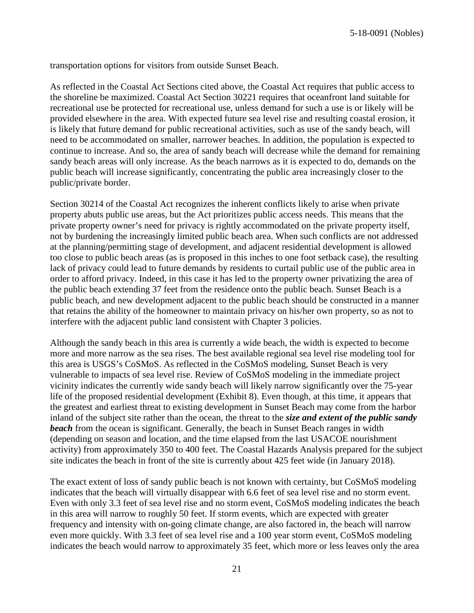transportation options for visitors from outside Sunset Beach.

As reflected in the Coastal Act Sections cited above, the Coastal Act requires that public access to the shoreline be maximized. Coastal Act Section 30221 requires that oceanfront land suitable for recreational use be protected for recreational use, unless demand for such a use is or likely will be provided elsewhere in the area. With expected future sea level rise and resulting coastal erosion, it is likely that future demand for public recreational activities, such as use of the sandy beach, will need to be accommodated on smaller, narrower beaches. In addition, the population is expected to continue to increase. And so, the area of sandy beach will decrease while the demand for remaining sandy beach areas will only increase. As the beach narrows as it is expected to do, demands on the public beach will increase significantly, concentrating the public area increasingly closer to the public/private border.

Section 30214 of the Coastal Act recognizes the inherent conflicts likely to arise when private property abuts public use areas, but the Act prioritizes public access needs. This means that the private property owner's need for privacy is rightly accommodated on the private property itself, not by burdening the increasingly limited public beach area. When such conflicts are not addressed at the planning/permitting stage of development, and adjacent residential development is allowed too close to public beach areas (as is proposed in this inches to one foot setback case), the resulting lack of privacy could lead to future demands by residents to curtail public use of the public area in order to afford privacy. Indeed, in this case it has led to the property owner privatizing the area of the public beach extending 37 feet from the residence onto the public beach. Sunset Beach is a public beach, and new development adjacent to the public beach should be constructed in a manner that retains the ability of the homeowner to maintain privacy on his/her own property, so as not to interfere with the adjacent public land consistent with Chapter 3 policies.

Although the sandy beach in this area is currently a wide beach, the width is expected to become more and more narrow as the sea rises. The best available regional sea level rise modeling tool for this area is USGS's CoSMoS. As reflected in the CoSMoS modeling, Sunset Beach is very vulnerable to impacts of sea level rise. Review of CoSMoS modeling in the immediate project vicinity indicates the currently wide sandy beach will likely narrow significantly over the 75-year life of the proposed residential development (Exhibit 8). Even though, at this time, it appears that the greatest and earliest threat to existing development in Sunset Beach may come from the harbor inland of the subject site rather than the ocean, the threat to the *size and extent of the public sandy*  **beach** from the ocean is significant. Generally, the beach in Sunset Beach ranges in width (depending on season and location, and the time elapsed from the last USACOE nourishment activity) from approximately 350 to 400 feet. The Coastal Hazards Analysis prepared for the subject site indicates the beach in front of the site is currently about 425 feet wide (in January 2018).

The exact extent of loss of sandy public beach is not known with certainty, but CoSMoS modeling indicates that the beach will virtually disappear with 6.6 feet of sea level rise and no storm event. Even with only 3.3 feet of sea level rise and no storm event, CoSMoS modeling indicates the beach in this area will narrow to roughly 50 feet. If storm events, which are expected with greater frequency and intensity with on-going climate change, are also factored in, the beach will narrow even more quickly. With 3.3 feet of sea level rise and a 100 year storm event, CoSMoS modeling indicates the beach would narrow to approximately 35 feet, which more or less leaves only the area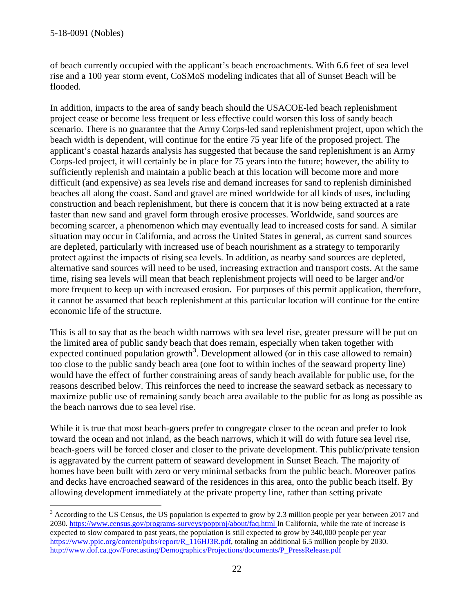of beach currently occupied with the applicant's beach encroachments. With 6.6 feet of sea level rise and a 100 year storm event, CoSMoS modeling indicates that all of Sunset Beach will be flooded.

In addition, impacts to the area of sandy beach should the USACOE-led beach replenishment project cease or become less frequent or less effective could worsen this loss of sandy beach scenario. There is no guarantee that the Army Corps-led sand replenishment project, upon which the beach width is dependent, will continue for the entire 75 year life of the proposed project. The applicant's coastal hazards analysis has suggested that because the sand replenishment is an Army Corps-led project, it will certainly be in place for 75 years into the future; however, the ability to sufficiently replenish and maintain a public beach at this location will become more and more difficult (and expensive) as sea levels rise and demand increases for sand to replenish diminished beaches all along the coast. Sand and gravel are mined worldwide for all kinds of uses, including construction and beach replenishment, but there is concern that it is now being extracted at a rate faster than new sand and gravel form through erosive processes. Worldwide, sand sources are becoming scarcer, a phenomenon which may eventually lead to increased costs for sand. A similar situation may occur in California, and across the United States in general, as current sand sources are depleted, particularly with increased use of beach nourishment as a strategy to temporarily protect against the impacts of rising sea levels. In addition, as nearby sand sources are depleted, alternative sand sources will need to be used, increasing extraction and transport costs. At the same time, rising sea levels will mean that beach replenishment projects will need to be larger and/or more frequent to keep up with increased erosion. For purposes of this permit application, therefore, it cannot be assumed that beach replenishment at this particular location will continue for the entire economic life of the structure.

This is all to say that as the beach width narrows with sea level rise, greater pressure will be put on the limited area of public sandy beach that does remain, especially when taken together with expected continued population growth<sup>[3](#page-21-0)</sup>. Development allowed (or in this case allowed to remain) too close to the public sandy beach area (one foot to within inches of the seaward property line) would have the effect of further constraining areas of sandy beach available for public use, for the reasons described below. This reinforces the need to increase the seaward setback as necessary to maximize public use of remaining sandy beach area available to the public for as long as possible as the beach narrows due to sea level rise.

While it is true that most beach-goers prefer to congregate closer to the ocean and prefer to look toward the ocean and not inland, as the beach narrows, which it will do with future sea level rise, beach-goers will be forced closer and closer to the private development. This public/private tension is aggravated by the current pattern of seaward development in Sunset Beach. The majority of homes have been built with zero or very minimal setbacks from the public beach. Moreover patios and decks have encroached seaward of the residences in this area, onto the public beach itself. By allowing development immediately at the private property line, rather than setting private

<span id="page-21-0"></span> $3$  According to the US Census, the US population is expected to grow by 2.3 million people per year between 2017 and 2030.<https://www.census.gov/programs-surveys/popproj/about/faq.html> In California, while the rate of increase is expected to slow compared to past years, the population is still expected to grow by 340,000 people per year [https://www.ppic.org/content/pubs/report/R\\_116HJ3R.pdf,](https://www.ppic.org/content/pubs/report/R_116HJ3R.pdf) totaling an additional 6.5 million people by 2030. [http://www.dof.ca.gov/Forecasting/Demographics/Projections/documents/P\\_PressRelease.pdf](http://www.dof.ca.gov/Forecasting/Demographics/Projections/documents/P_PressRelease.pdf)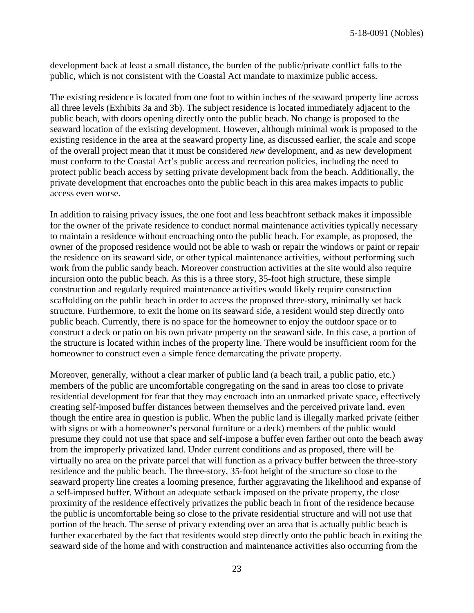development back at least a small distance, the burden of the public/private conflict falls to the public, which is not consistent with the Coastal Act mandate to maximize public access.

The existing residence is located from one foot to within inches of the seaward property line across all three levels (Exhibits 3a and 3b). The subject residence is located immediately adjacent to the public beach, with doors opening directly onto the public beach. No change is proposed to the seaward location of the existing development. However, although minimal work is proposed to the existing residence in the area at the seaward property line, as discussed earlier, the scale and scope of the overall project mean that it must be considered *new* development, and as new development must conform to the Coastal Act's public access and recreation policies, including the need to protect public beach access by setting private development back from the beach. Additionally, the private development that encroaches onto the public beach in this area makes impacts to public access even worse.

In addition to raising privacy issues, the one foot and less beachfront setback makes it impossible for the owner of the private residence to conduct normal maintenance activities typically necessary to maintain a residence without encroaching onto the public beach. For example, as proposed, the owner of the proposed residence would not be able to wash or repair the windows or paint or repair the residence on its seaward side, or other typical maintenance activities, without performing such work from the public sandy beach. Moreover construction activities at the site would also require incursion onto the public beach. As this is a three story, 35-foot high structure, these simple construction and regularly required maintenance activities would likely require construction scaffolding on the public beach in order to access the proposed three-story, minimally set back structure. Furthermore, to exit the home on its seaward side, a resident would step directly onto public beach. Currently, there is no space for the homeowner to enjoy the outdoor space or to construct a deck or patio on his own private property on the seaward side. In this case, a portion of the structure is located within inches of the property line. There would be insufficient room for the homeowner to construct even a simple fence demarcating the private property.

Moreover, generally, without a clear marker of public land (a beach trail, a public patio, etc.) members of the public are uncomfortable congregating on the sand in areas too close to private residential development for fear that they may encroach into an unmarked private space, effectively creating self-imposed buffer distances between themselves and the perceived private land, even though the entire area in question is public. When the public land is illegally marked private (either with signs or with a homeowner's personal furniture or a deck) members of the public would presume they could not use that space and self-impose a buffer even farther out onto the beach away from the improperly privatized land. Under current conditions and as proposed, there will be virtually no area on the private parcel that will function as a privacy buffer between the three-story residence and the public beach. The three-story, 35-foot height of the structure so close to the seaward property line creates a looming presence, further aggravating the likelihood and expanse of a self-imposed buffer. Without an adequate setback imposed on the private property, the close proximity of the residence effectively privatizes the public beach in front of the residence because the public is uncomfortable being so close to the private residential structure and will not use that portion of the beach. The sense of privacy extending over an area that is actually public beach is further exacerbated by the fact that residents would step directly onto the public beach in exiting the seaward side of the home and with construction and maintenance activities also occurring from the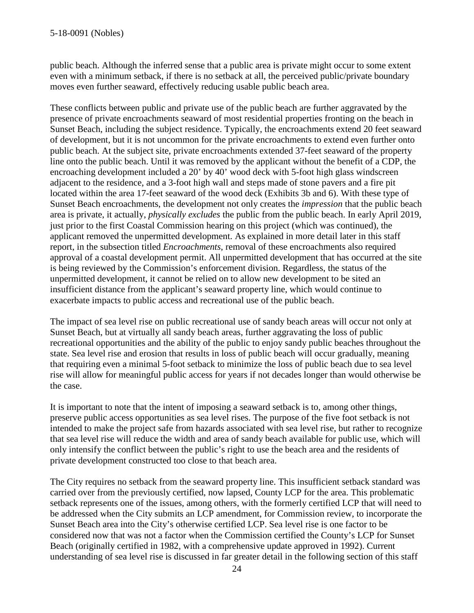public beach. Although the inferred sense that a public area is private might occur to some extent even with a minimum setback, if there is no setback at all, the perceived public/private boundary moves even further seaward, effectively reducing usable public beach area.

These conflicts between public and private use of the public beach are further aggravated by the presence of private encroachments seaward of most residential properties fronting on the beach in Sunset Beach, including the subject residence. Typically, the encroachments extend 20 feet seaward of development, but it is not uncommon for the private encroachments to extend even further onto public beach. At the subject site, private encroachments extended 37-feet seaward of the property line onto the public beach. Until it was removed by the applicant without the benefit of a CDP, the encroaching development included a 20' by 40' wood deck with 5-foot high glass windscreen adjacent to the residence, and a 3-foot high wall and steps made of stone pavers and a fire pit located within the area 17-feet seaward of the wood deck (Exhibits 3b and 6). With these type of Sunset Beach encroachments, the development not only creates the *impression* that the public beach area is private, it actually, *physically excludes* the public from the public beach. In early April 2019, just prior to the first Coastal Commission hearing on this project (which was continued), the applicant removed the unpermitted development. As explained in more detail later in this staff report, in the subsection titled *Encroachments*, removal of these encroachments also required approval of a coastal development permit. All unpermitted development that has occurred at the site is being reviewed by the Commission's enforcement division. Regardless, the status of the unpermitted development, it cannot be relied on to allow new development to be sited an insufficient distance from the applicant's seaward property line, which would continue to exacerbate impacts to public access and recreational use of the public beach.

The impact of sea level rise on public recreational use of sandy beach areas will occur not only at Sunset Beach, but at virtually all sandy beach areas, further aggravating the loss of public recreational opportunities and the ability of the public to enjoy sandy public beaches throughout the state. Sea level rise and erosion that results in loss of public beach will occur gradually, meaning that requiring even a minimal 5-foot setback to minimize the loss of public beach due to sea level rise will allow for meaningful public access for years if not decades longer than would otherwise be the case.

It is important to note that the intent of imposing a seaward setback is to, among other things, preserve public access opportunities as sea level rises. The purpose of the five foot setback is not intended to make the project safe from hazards associated with sea level rise, but rather to recognize that sea level rise will reduce the width and area of sandy beach available for public use, which will only intensify the conflict between the public's right to use the beach area and the residents of private development constructed too close to that beach area.

The City requires no setback from the seaward property line. This insufficient setback standard was carried over from the previously certified, now lapsed, County LCP for the area. This problematic setback represents one of the issues, among others, with the formerly certified LCP that will need to be addressed when the City submits an LCP amendment, for Commission review, to incorporate the Sunset Beach area into the City's otherwise certified LCP. Sea level rise is one factor to be considered now that was not a factor when the Commission certified the County's LCP for Sunset Beach (originally certified in 1982, with a comprehensive update approved in 1992). Current understanding of sea level rise is discussed in far greater detail in the following section of this staff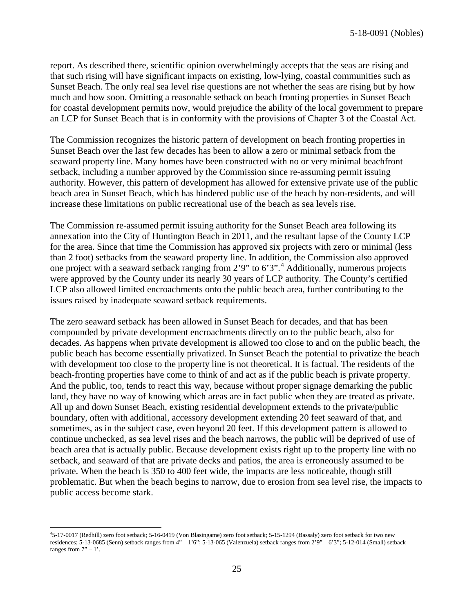report. As described there, scientific opinion overwhelmingly accepts that the seas are rising and that such rising will have significant impacts on existing, low-lying, coastal communities such as Sunset Beach. The only real sea level rise questions are not whether the seas are rising but by how much and how soon. Omitting a reasonable setback on beach fronting properties in Sunset Beach for coastal development permits now, would prejudice the ability of the local government to prepare an LCP for Sunset Beach that is in conformity with the provisions of Chapter 3 of the Coastal Act.

The Commission recognizes the historic pattern of development on beach fronting properties in Sunset Beach over the last few decades has been to allow a zero or minimal setback from the seaward property line. Many homes have been constructed with no or very minimal beachfront setback, including a number approved by the Commission since re-assuming permit issuing authority. However, this pattern of development has allowed for extensive private use of the public beach area in Sunset Beach, which has hindered public use of the beach by non-residents, and will increase these limitations on public recreational use of the beach as sea levels rise.

The Commission re-assumed permit issuing authority for the Sunset Beach area following its annexation into the City of Huntington Beach in 2011, and the resultant lapse of the County LCP for the area. Since that time the Commission has approved six projects with zero or minimal (less than 2 foot) setbacks from the seaward property line. In addition, the Commission also approved one project with a seaward setback ranging from  $2'9''$  to  $6'3''$ .<sup>[4](#page-24-0)</sup> Additionally, numerous projects were approved by the County under its nearly 30 years of LCP authority. The County's certified LCP also allowed limited encroachments onto the public beach area, further contributing to the issues raised by inadequate seaward setback requirements.

The zero seaward setback has been allowed in Sunset Beach for decades, and that has been compounded by private development encroachments directly on to the public beach, also for decades. As happens when private development is allowed too close to and on the public beach, the public beach has become essentially privatized. In Sunset Beach the potential to privatize the beach with development too close to the property line is not theoretical. It is factual. The residents of the beach-fronting properties have come to think of and act as if the public beach is private property. And the public, too, tends to react this way, because without proper signage demarking the public land, they have no way of knowing which areas are in fact public when they are treated as private. All up and down Sunset Beach, existing residential development extends to the private/public boundary, often with additional, accessory development extending 20 feet seaward of that, and sometimes, as in the subject case, even beyond 20 feet. If this development pattern is allowed to continue unchecked, as sea level rises and the beach narrows, the public will be deprived of use of beach area that is actually public. Because development exists right up to the property line with no setback, and seaward of that are private decks and patios, the area is erroneously assumed to be private. When the beach is 350 to 400 feet wide, the impacts are less noticeable, though still problematic. But when the beach begins to narrow, due to erosion from sea level rise, the impacts to public access become stark.

<span id="page-24-0"></span> $\frac{1}{4}$ 5-17-0017 (Redhill) zero foot setback; 5-16-0419 (Von Blasingame) zero foot setback; 5-15-1294 (Bassaly) zero foot setback for two new residences; 5-13-0685 (Senn) setback ranges from 4" – 1'6"; 5-13-065 (Valenzuela) setback ranges from 2'9" – 6'3"; 5-12-014 (Small) setback ranges from  $7" - 1'$ .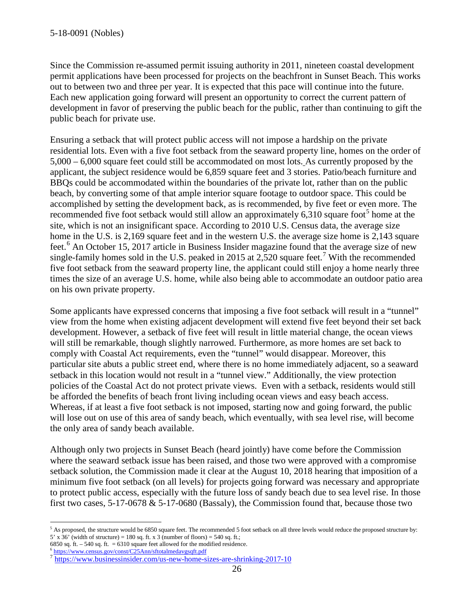Since the Commission re-assumed permit issuing authority in 2011, nineteen coastal development permit applications have been processed for projects on the beachfront in Sunset Beach. This works out to between two and three per year. It is expected that this pace will continue into the future. Each new application going forward will present an opportunity to correct the current pattern of development in favor of preserving the public beach for the public, rather than continuing to gift the public beach for private use.

Ensuring a setback that will protect public access will not impose a hardship on the private residential lots. Even with a five foot setback from the seaward property line, homes on the order of 5,000 – 6,000 square feet could still be accommodated on most lots. As currently proposed by the applicant, the subject residence would be 6,859 square feet and 3 stories. Patio/beach furniture and BBQs could be accommodated within the boundaries of the private lot, rather than on the public beach, by converting some of that ample interior square footage to outdoor space. This could be accomplished by setting the development back, as is recommended, by five feet or even more. The recommended five foot setback would still allow an approximately 6,310 square foot<sup>[5](#page-25-0)</sup> home at the site, which is not an insignificant space. According to 2010 U.S. Census data, the average size home in the U.S. is 2,169 square feet and in the western U.S. the average size home is 2,143 square feet.<sup>[6](#page-25-1)</sup> An October 15, 2017 article in Business Insider magazine found that the average size of new single-family homes sold in the U.S. peaked in 2015 at 2,520 square feet.<sup>[7](#page-25-2)</sup> With the recommended five foot setback from the seaward property line, the applicant could still enjoy a home nearly three times the size of an average U.S. home, while also being able to accommodate an outdoor patio area on his own private property.

Some applicants have expressed concerns that imposing a five foot setback will result in a "tunnel" view from the home when existing adjacent development will extend five feet beyond their set back development. However, a setback of five feet will result in little material change, the ocean views will still be remarkable, though slightly narrowed. Furthermore, as more homes are set back to comply with Coastal Act requirements, even the "tunnel" would disappear. Moreover, this particular site abuts a public street end, where there is no home immediately adjacent, so a seaward setback in this location would not result in a "tunnel view." Additionally, the view protection policies of the Coastal Act do not protect private views. Even with a setback, residents would still be afforded the benefits of beach front living including ocean views and easy beach access. Whereas, if at least a five foot setback is not imposed, starting now and going forward, the public will lose out on use of this area of sandy beach, which eventually, with sea level rise, will become the only area of sandy beach available.

Although only two projects in Sunset Beach (heard jointly) have come before the Commission where the seaward setback issue has been raised, and those two were approved with a compromise setback solution, the Commission made it clear at the August 10, 2018 hearing that imposition of a minimum five foot setback (on all levels) for projects going forward was necessary and appropriate to protect public access, especially with the future loss of sandy beach due to sea level rise. In those first two cases,  $5-17-0678 \& 5-17-0680$  (Bassaly), the Commission found that, because those two

<span id="page-25-0"></span> $<sup>5</sup>$  As proposed, the structure would be 6850 square feet. The recommended 5 foot setback on all three levels would reduce the proposed structure by:</sup> 5' x 36' (width of structure) = 180 sq. ft. x 3 (number of floors) = 540 sq. ft.;<br>6850 sq. ft. - 540 sq. ft. = 6310 square feet allowed for the modified residence.

<span id="page-25-2"></span><span id="page-25-1"></span> $\frac{6}{6}$  <https://www.census.gov/const/C25Ann/sftotalmedavgsqft.pdf><br>  $\frac{7}{6}$  <https://www.businessinsider.com/us-new-home-sizes-are-shrinking-2017-10>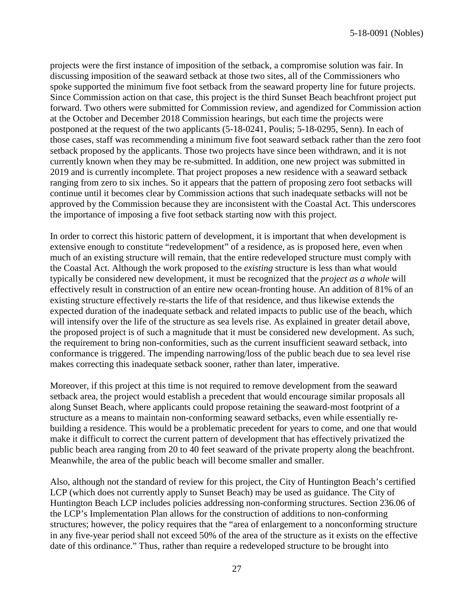projects were the first instance of imposition of the setback, a compromise solution was fair. In discussing imposition of the seaward setback at those two sites, all of the Commissioners who spoke supported the minimum five foot setback from the seaward property line for future projects. Since Commission action on that case, this project is the third Sunset Beach beachfront project put forward. Two others were submitted for Commission review, and agendized for Commission action at the October and December 2018 Commission hearings, but each time the projects were postponed at the request of the two applicants (5-18-0241, Poulis; 5-18-0295, Senn). In each of those cases, staff was recommending a minimum five foot seaward setback rather than the zero foot setback proposed by the applicants. Those two projects have since been withdrawn, and it is not currently known when they may be re-submitted. In addition, one new project was submitted in 2019 and is currently incomplete. That project proposes a new residence with a seaward setback ranging from zero to six inches. So it appears that the pattern of proposing zero foot setbacks will continue until it becomes clear by Commission actions that such inadequate setbacks will not be approved by the Commission because they are inconsistent with the Coastal Act. This underscores the importance of imposing a five foot setback starting now with this project.

In order to correct this historic pattern of development, it is important that when development is extensive enough to constitute "redevelopment" of a residence, as is proposed here, even when much of an existing structure will remain, that the entire redeveloped structure must comply with the Coastal Act. Although the work proposed to the *existing* structure is less than what would typically be considered new development, it must be recognized that the *project as a whole* will effectively result in construction of an entire new ocean-fronting house. An addition of 81% of an existing structure effectively re-starts the life of that residence, and thus likewise extends the expected duration of the inadequate setback and related impacts to public use of the beach, which will intensify over the life of the structure as sea levels rise. As explained in greater detail above, the proposed project is of such a magnitude that it must be considered new development. As such, the requirement to bring non-conformities, such as the current insufficient seaward setback, into conformance is triggered. The impending narrowing/loss of the public beach due to sea level rise makes correcting this inadequate setback sooner, rather than later, imperative.

Moreover, if this project at this time is not required to remove development from the seaward setback area, the project would establish a precedent that would encourage similar proposals all along Sunset Beach, where applicants could propose retaining the seaward-most footprint of a structure as a means to maintain non-conforming seaward setbacks, even while essentially rebuilding a residence. This would be a problematic precedent for years to come, and one that would make it difficult to correct the current pattern of development that has effectively privatized the public beach area ranging from 20 to 40 feet seaward of the private property along the beachfront. Meanwhile, the area of the public beach will become smaller and smaller.

Also, although not the standard of review for this project, the City of Huntington Beach's certified LCP (which does not currently apply to Sunset Beach) may be used as guidance. The City of Huntington Beach LCP includes policies addressing non-conforming structures. Section 236.06 of the LCP's Implementation Plan allows for the construction of additions to non-conforming structures; however, the policy requires that the "area of enlargement to a nonconforming structure in any five-year period shall not exceed 50% of the area of the structure as it exists on the effective date of this ordinance." Thus, rather than require a redeveloped structure to be brought into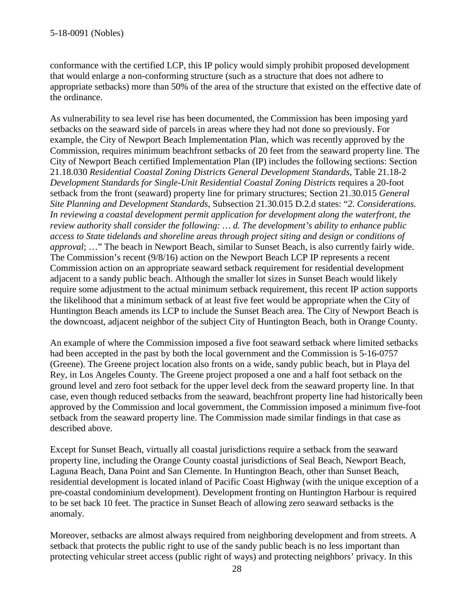conformance with the certified LCP, this IP policy would simply prohibit proposed development that would enlarge a non-conforming structure (such as a structure that does not adhere to appropriate setbacks) more than 50% of the area of the structure that existed on the effective date of the ordinance.

As vulnerability to sea level rise has been documented, the Commission has been imposing yard setbacks on the seaward side of parcels in areas where they had not done so previously. For example, the City of Newport Beach Implementation Plan, which was recently approved by the Commission, requires minimum beachfront setbacks of 20 feet from the seaward property line. The City of Newport Beach certified Implementation Plan (IP) includes the following sections: Section 21.18.030 *Residential Coastal Zoning Districts General Development Standards*, Table 21.18-2 *Development Standards for Single-Unit Residential Coastal Zoning Districts* requires a 20-foot setback from the front (seaward) property line for primary structures; Section 21.30.015 *General Site Planning and Development Standards*, Subsection 21.30.015 D.2.d states: "*2. Considerations. In reviewing a coastal development permit application for development along the waterfront, the review authority shall consider the following: … d. The development's ability to enhance public access to State tidelands and shoreline areas through project siting and design or conditions of approval*; …" The beach in Newport Beach, similar to Sunset Beach, is also currently fairly wide. The Commission's recent (9/8/16) action on the Newport Beach LCP IP represents a recent Commission action on an appropriate seaward setback requirement for residential development adjacent to a sandy public beach. Although the smaller lot sizes in Sunset Beach would likely require some adjustment to the actual minimum setback requirement, this recent IP action supports the likelihood that a minimum setback of at least five feet would be appropriate when the City of Huntington Beach amends its LCP to include the Sunset Beach area. The City of Newport Beach is the downcoast, adjacent neighbor of the subject City of Huntington Beach, both in Orange County.

An example of where the Commission imposed a five foot seaward setback where limited setbacks had been accepted in the past by both the local government and the Commission is 5-16-0757 (Greene). The Greene project location also fronts on a wide, sandy public beach, but in Playa del Rey, in Los Angeles County. The Greene project proposed a one and a half foot setback on the ground level and zero foot setback for the upper level deck from the seaward property line. In that case, even though reduced setbacks from the seaward, beachfront property line had historically been approved by the Commission and local government, the Commission imposed a minimum five-foot setback from the seaward property line. The Commission made similar findings in that case as described above.

Except for Sunset Beach, virtually all coastal jurisdictions require a setback from the seaward property line, including the Orange County coastal jurisdictions of Seal Beach, Newport Beach, Laguna Beach, Dana Point and San Clemente. In Huntington Beach, other than Sunset Beach, residential development is located inland of Pacific Coast Highway (with the unique exception of a pre-coastal condominium development). Development fronting on Huntington Harbour is required to be set back 10 feet. The practice in Sunset Beach of allowing zero seaward setbacks is the anomaly.

Moreover, setbacks are almost always required from neighboring development and from streets. A setback that protects the public right to use of the sandy public beach is no less important than protecting vehicular street access (public right of ways) and protecting neighbors' privacy. In this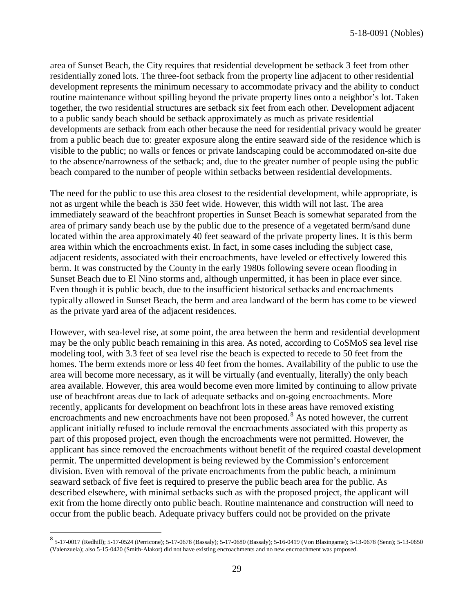area of Sunset Beach, the City requires that residential development be setback 3 feet from other residentially zoned lots. The three-foot setback from the property line adjacent to other residential development represents the minimum necessary to accommodate privacy and the ability to conduct routine maintenance without spilling beyond the private property lines onto a neighbor's lot. Taken together, the two residential structures are setback six feet from each other. Development adjacent to a public sandy beach should be setback approximately as much as private residential developments are setback from each other because the need for residential privacy would be greater from a public beach due to: greater exposure along the entire seaward side of the residence which is visible to the public; no walls or fences or private landscaping could be accommodated on-site due to the absence/narrowness of the setback; and, due to the greater number of people using the public beach compared to the number of people within setbacks between residential developments.

The need for the public to use this area closest to the residential development, while appropriate, is not as urgent while the beach is 350 feet wide. However, this width will not last. The area immediately seaward of the beachfront properties in Sunset Beach is somewhat separated from the area of primary sandy beach use by the public due to the presence of a vegetated berm/sand dune located within the area approximately 40 feet seaward of the private property lines. It is this berm area within which the encroachments exist. In fact, in some cases including the subject case, adjacent residents, associated with their encroachments, have leveled or effectively lowered this berm. It was constructed by the County in the early 1980s following severe ocean flooding in Sunset Beach due to El Nino storms and, although unpermitted, it has been in place ever since. Even though it is public beach, due to the insufficient historical setbacks and encroachments typically allowed in Sunset Beach, the berm and area landward of the berm has come to be viewed as the private yard area of the adjacent residences.

However, with sea-level rise, at some point, the area between the berm and residential development may be the only public beach remaining in this area. As noted, according to CoSMoS sea level rise modeling tool, with 3.3 feet of sea level rise the beach is expected to recede to 50 feet from the homes. The berm extends more or less 40 feet from the homes. Availability of the public to use the area will become more necessary, as it will be virtually (and eventually, literally) the only beach area available. However, this area would become even more limited by continuing to allow private use of beachfront areas due to lack of adequate setbacks and on-going encroachments. More recently, applicants for development on beachfront lots in these areas have removed existing encroachments and new encroachments have not been proposed.<sup>[8](#page-28-0)</sup> As noted however, the current applicant initially refused to include removal the encroachments associated with this property as part of this proposed project, even though the encroachments were not permitted. However, the applicant has since removed the encroachments without benefit of the required coastal development permit. The unpermitted development is being reviewed by the Commission's enforcement division. Even with removal of the private encroachments from the public beach, a minimum seaward setback of five feet is required to preserve the public beach area for the public. As described elsewhere, with minimal setbacks such as with the proposed project, the applicant will exit from the home directly onto public beach. Routine maintenance and construction will need to occur from the public beach. Adequate privacy buffers could not be provided on the private

<span id="page-28-0"></span><sup>8</sup> 5-17-0017 (Redhill); 5-17-0524 (Perricone); 5-17-0678 (Bassaly); 5-17-0680 (Bassaly); 5-16-0419 (Von Blasingame); 5-13-0678 (Senn); 5-13-0650 (Valenzuela); also 5-15-0420 (Smith-Alakor) did not have existing encroachments and no new encroachment was proposed.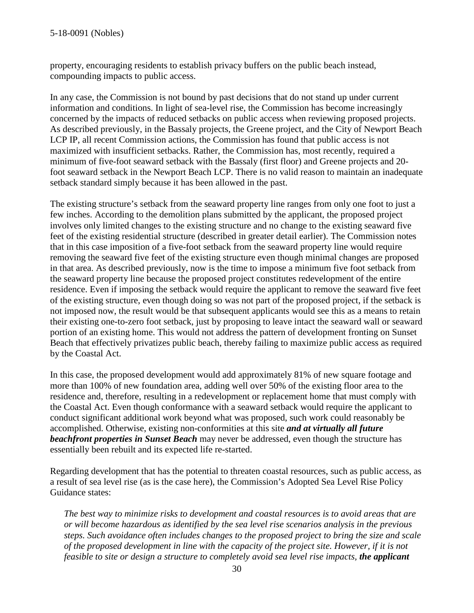property, encouraging residents to establish privacy buffers on the public beach instead, compounding impacts to public access.

In any case, the Commission is not bound by past decisions that do not stand up under current information and conditions. In light of sea-level rise, the Commission has become increasingly concerned by the impacts of reduced setbacks on public access when reviewing proposed projects. As described previously, in the Bassaly projects, the Greene project, and the City of Newport Beach LCP IP, all recent Commission actions, the Commission has found that public access is not maximized with insufficient setbacks. Rather, the Commission has, most recently, required a minimum of five-foot seaward setback with the Bassaly (first floor) and Greene projects and 20 foot seaward setback in the Newport Beach LCP. There is no valid reason to maintain an inadequate setback standard simply because it has been allowed in the past.

The existing structure's setback from the seaward property line ranges from only one foot to just a few inches. According to the demolition plans submitted by the applicant, the proposed project involves only limited changes to the existing structure and no change to the existing seaward five feet of the existing residential structure (described in greater detail earlier). The Commission notes that in this case imposition of a five-foot setback from the seaward property line would require removing the seaward five feet of the existing structure even though minimal changes are proposed in that area. As described previously, now is the time to impose a minimum five foot setback from the seaward property line because the proposed project constitutes redevelopment of the entire residence. Even if imposing the setback would require the applicant to remove the seaward five feet of the existing structure, even though doing so was not part of the proposed project, if the setback is not imposed now, the result would be that subsequent applicants would see this as a means to retain their existing one-to-zero foot setback, just by proposing to leave intact the seaward wall or seaward portion of an existing home. This would not address the pattern of development fronting on Sunset Beach that effectively privatizes public beach, thereby failing to maximize public access as required by the Coastal Act.

In this case, the proposed development would add approximately 81% of new square footage and more than 100% of new foundation area, adding well over 50% of the existing floor area to the residence and, therefore, resulting in a redevelopment or replacement home that must comply with the Coastal Act. Even though conformance with a seaward setback would require the applicant to conduct significant additional work beyond what was proposed, such work could reasonably be accomplished. Otherwise, existing non-conformities at this site *and at virtually all future beachfront properties in Sunset Beach* may never be addressed, even though the structure has essentially been rebuilt and its expected life re-started.

Regarding development that has the potential to threaten coastal resources, such as public access, as a result of sea level rise (as is the case here), the Commission's Adopted Sea Level Rise Policy Guidance states:

*The best way to minimize risks to development and coastal resources is to avoid areas that are or will become hazardous as identified by the sea level rise scenarios analysis in the previous steps. Such avoidance often includes changes to the proposed project to bring the size and scale of the proposed development in line with the capacity of the project site. However, if it is not feasible to site or design a structure to completely avoid sea level rise impacts, the applicant*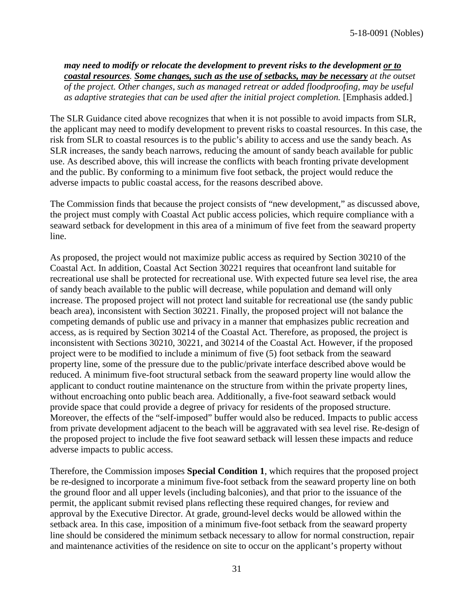*may need to modify or relocate the development to prevent risks to the development or to coastal resources. Some changes, such as the use of setbacks, may be necessary at the outset of the project. Other changes, such as managed retreat or added floodproofing, may be useful as adaptive strategies that can be used after the initial project completion.* [Emphasis added.]

The SLR Guidance cited above recognizes that when it is not possible to avoid impacts from SLR, the applicant may need to modify development to prevent risks to coastal resources. In this case, the risk from SLR to coastal resources is to the public's ability to access and use the sandy beach. As SLR increases, the sandy beach narrows, reducing the amount of sandy beach available for public use. As described above, this will increase the conflicts with beach fronting private development and the public. By conforming to a minimum five foot setback, the project would reduce the adverse impacts to public coastal access, for the reasons described above.

The Commission finds that because the project consists of "new development," as discussed above, the project must comply with Coastal Act public access policies, which require compliance with a seaward setback for development in this area of a minimum of five feet from the seaward property line.

As proposed, the project would not maximize public access as required by Section 30210 of the Coastal Act. In addition, Coastal Act Section 30221 requires that oceanfront land suitable for recreational use shall be protected for recreational use. With expected future sea level rise, the area of sandy beach available to the public will decrease, while population and demand will only increase. The proposed project will not protect land suitable for recreational use (the sandy public beach area), inconsistent with Section 30221. Finally, the proposed project will not balance the competing demands of public use and privacy in a manner that emphasizes public recreation and access, as is required by Section 30214 of the Coastal Act. Therefore, as proposed, the project is inconsistent with Sections 30210, 30221, and 30214 of the Coastal Act. However, if the proposed project were to be modified to include a minimum of five (5) foot setback from the seaward property line, some of the pressure due to the public/private interface described above would be reduced. A minimum five-foot structural setback from the seaward property line would allow the applicant to conduct routine maintenance on the structure from within the private property lines, without encroaching onto public beach area. Additionally, a five-foot seaward setback would provide space that could provide a degree of privacy for residents of the proposed structure. Moreover, the effects of the "self-imposed" buffer would also be reduced. Impacts to public access from private development adjacent to the beach will be aggravated with sea level rise. Re-design of the proposed project to include the five foot seaward setback will lessen these impacts and reduce adverse impacts to public access.

Therefore, the Commission imposes **Special Condition 1**, which requires that the proposed project be re-designed to incorporate a minimum five-foot setback from the seaward property line on both the ground floor and all upper levels (including balconies), and that prior to the issuance of the permit, the applicant submit revised plans reflecting these required changes, for review and approval by the Executive Director. At grade, ground-level decks would be allowed within the setback area. In this case, imposition of a minimum five-foot setback from the seaward property line should be considered the minimum setback necessary to allow for normal construction, repair and maintenance activities of the residence on site to occur on the applicant's property without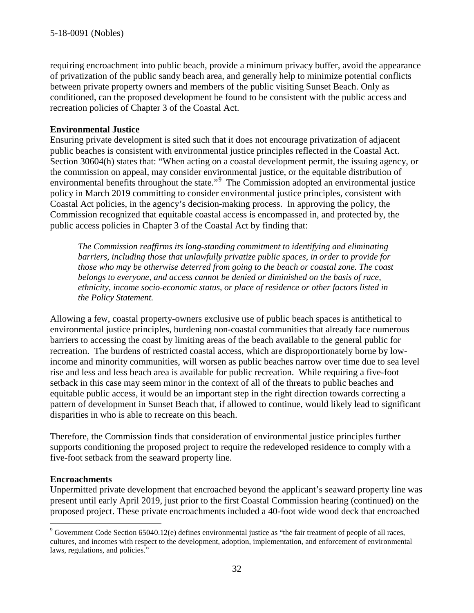requiring encroachment into public beach, provide a minimum privacy buffer, avoid the appearance of privatization of the public sandy beach area, and generally help to minimize potential conflicts between private property owners and members of the public visiting Sunset Beach. Only as conditioned, can the proposed development be found to be consistent with the public access and recreation policies of Chapter 3 of the Coastal Act.

#### **Environmental Justice**

Ensuring private development is sited such that it does not encourage privatization of adjacent public beaches is consistent with environmental justice principles reflected in the Coastal Act. Section 30604(h) states that: "When acting on a coastal development permit, the issuing agency, or the commission on appeal, may consider environmental justice, or the equitable distribution of environmental benefits throughout the state."<sup>[9](#page-31-0)</sup> The Commission adopted an environmental justice policy in March 2019 committing to consider environmental justice principles, consistent with Coastal Act policies, in the agency's decision-making process. In approving the policy, the Commission recognized that equitable coastal access is encompassed in, and protected by, the public access policies in Chapter 3 of the Coastal Act by finding that:

*The Commission reaffirms its long-standing commitment to identifying and eliminating barriers, including those that unlawfully privatize public spaces, in order to provide for those who may be otherwise deterred from going to the beach or coastal zone. The coast belongs to everyone, and access cannot be denied or diminished on the basis of race, ethnicity, income socio-economic status, or place of residence or other factors listed in the Policy Statement.*

Allowing a few, coastal property-owners exclusive use of public beach spaces is antithetical to environmental justice principles, burdening non-coastal communities that already face numerous barriers to accessing the coast by limiting areas of the beach available to the general public for recreation. The burdens of restricted coastal access, which are disproportionately borne by lowincome and minority communities, will worsen as public beaches narrow over time due to sea level rise and less and less beach area is available for public recreation. While requiring a five-foot setback in this case may seem minor in the context of all of the threats to public beaches and equitable public access, it would be an important step in the right direction towards correcting a pattern of development in Sunset Beach that, if allowed to continue, would likely lead to significant disparities in who is able to recreate on this beach.

Therefore, the Commission finds that consideration of environmental justice principles further supports conditioning the proposed project to require the redeveloped residence to comply with a five-foot setback from the seaward property line.

#### **Encroachments**

Unpermitted private development that encroached beyond the applicant's seaward property line was present until early April 2019, just prior to the first Coastal Commission hearing (continued) on the proposed project. These private encroachments included a 40-foot wide wood deck that encroached

<span id="page-31-0"></span> $9$  Government Code Section 65040.12(e) defines environmental justice as "the fair treatment of people of all races, cultures, and incomes with respect to the development, adoption, implementation, and enforcement of environmental laws, regulations, and policies."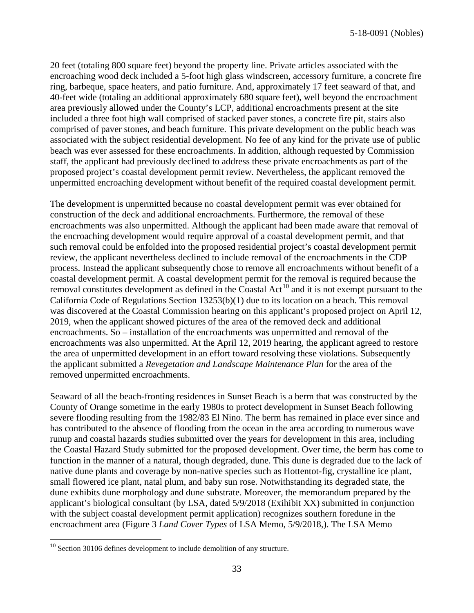5-18-0091 (Nobles)

20 feet (totaling 800 square feet) beyond the property line. Private articles associated with the encroaching wood deck included a 5-foot high glass windscreen, accessory furniture, a concrete fire ring, barbeque, space heaters, and patio furniture. And, approximately 17 feet seaward of that, and 40-feet wide (totaling an additional approximately 680 square feet), well beyond the encroachment area previously allowed under the County's LCP, additional encroachments present at the site included a three foot high wall comprised of stacked paver stones, a concrete fire pit, stairs also comprised of paver stones, and beach furniture. This private development on the public beach was associated with the subject residential development. No fee of any kind for the private use of public beach was ever assessed for these encroachments. In addition, although requested by Commission staff, the applicant had previously declined to address these private encroachments as part of the proposed project's coastal development permit review. Nevertheless, the applicant removed the unpermitted encroaching development without benefit of the required coastal development permit.

The development is unpermitted because no coastal development permit was ever obtained for construction of the deck and additional encroachments. Furthermore, the removal of these encroachments was also unpermitted. Although the applicant had been made aware that removal of the encroaching development would require approval of a coastal development permit, and that such removal could be enfolded into the proposed residential project's coastal development permit review, the applicant nevertheless declined to include removal of the encroachments in the CDP process. Instead the applicant subsequently chose to remove all encroachments without benefit of a coastal development permit. A coastal development permit for the removal is required because the removal constitutes development as defined in the Coastal Act<sup>[10](#page-32-0)</sup> and it is not exempt pursuant to the California Code of Regulations Section 13253(b)(1) due to its location on a beach. This removal was discovered at the Coastal Commission hearing on this applicant's proposed project on April 12, 2019, when the applicant showed pictures of the area of the removed deck and additional encroachments. So – installation of the encroachments was unpermitted and removal of the encroachments was also unpermitted. At the April 12, 2019 hearing, the applicant agreed to restore the area of unpermitted development in an effort toward resolving these violations. Subsequently the applicant submitted a *Revegetation and Landscape Maintenance Plan* for the area of the removed unpermitted encroachments.

Seaward of all the beach-fronting residences in Sunset Beach is a berm that was constructed by the County of Orange sometime in the early 1980s to protect development in Sunset Beach following severe flooding resulting from the 1982/83 El Nino. The berm has remained in place ever since and has contributed to the absence of flooding from the ocean in the area according to numerous wave runup and coastal hazards studies submitted over the years for development in this area, including the Coastal Hazard Study submitted for the proposed development. Over time, the berm has come to function in the manner of a natural, though degraded, dune. This dune is degraded due to the lack of native dune plants and coverage by non-native species such as Hottentot-fig, crystalline ice plant, small flowered ice plant, natal plum, and baby sun rose. Notwithstanding its degraded state, the dune exhibits dune morphology and dune substrate. Moreover, the memorandum prepared by the applicant's biological consultant (by LSA, dated 5/9/2018 (Exihibit XX) submitted in conjunction with the subject coastal development permit application) recognizes southern foredune in the encroachment area (Figure 3 *Land Cover Types* of LSA Memo, 5/9/2018,). The LSA Memo

<span id="page-32-0"></span><sup>&</sup>lt;sup>10</sup> Section 30106 defines development to include demolition of any structure.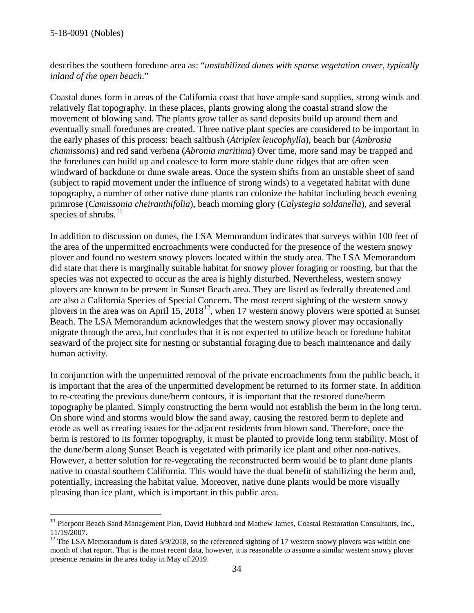describes the southern foredune area as: "*unstabilized dunes with sparse vegetation cover, typically inland of the open beach*."

Coastal dunes form in areas of the California coast that have ample sand supplies, strong winds and relatively flat topography. In these places, plants growing along the coastal strand slow the movement of blowing sand. The plants grow taller as sand deposits build up around them and eventually small foredunes are created. Three native plant species are considered to be important in the early phases of this process: beach saltbush (*Atriplex leucophylla*), beach bur (*Ambrosia chamissonis*) and red sand verbena (*Abronia maritima*) Over time, more sand may be trapped and the foredunes can build up and coalesce to form more stable dune ridges that are often seen windward of backdune or dune swale areas. Once the system shifts from an unstable sheet of sand (subject to rapid movement under the influence of strong winds) to a vegetated habitat with dune topography, a number of other native dune plants can colonize the habitat including beach evening primrose (*Camissonia cheiranthifolia*), beach morning glory (*Calystegia soldanella*), and several species of shrubs. $^{11}$  $^{11}$  $^{11}$ 

In addition to discussion on dunes, the LSA Memorandum indicates that surveys within 100 feet of the area of the unpermitted encroachments were conducted for the presence of the western snowy plover and found no western snowy plovers located within the study area. The LSA Memorandum did state that there is marginally suitable habitat for snowy plover foraging or roosting, but that the species was not expected to occur as the area is highly disturbed. Nevertheless, western snowy plovers are known to be present in Sunset Beach area. They are listed as federally threatened and are also a California Species of Special Concern. The most recent sighting of the western snowy plovers in the area was on April 15, 2018<sup>12</sup>, when 17 western snowy plovers were spotted at Sunset Beach. The LSA Memorandum acknowledges that the western snowy plover may occasionally migrate through the area, but concludes that it is not expected to utilize beach or foredune habitat seaward of the project site for nesting or substantial foraging due to beach maintenance and daily human activity.

In conjunction with the unpermitted removal of the private encroachments from the public beach, it is important that the area of the unpermitted development be returned to its former state. In addition to re-creating the previous dune/berm contours, it is important that the restored dune/berm topography be planted. Simply constructing the berm would not establish the berm in the long term. On shore wind and storms would blow the sand away, causing the restored berm to deplete and erode as well as creating issues for the adjacent residents from blown sand. Therefore, once the berm is restored to its former topography, it must be planted to provide long term stability. Most of the dune/berm along Sunset Beach is vegetated with primarily ice plant and other non-natives. However, a better solution for re-vegetating the reconstructed berm would be to plant dune plants native to coastal southern California. This would have the dual benefit of stabilizing the berm and, potentially, increasing the habitat value. Moreover, native dune plants would be more visually pleasing than ice plant, which is important in this public area.

<span id="page-33-0"></span><sup>&</sup>lt;sup>11</sup> Pierpont Beach Sand Management Plan, David Hubbard and Mathew James, Coastal Restoration Consultants, Inc., 11/19/2007.

<span id="page-33-1"></span><sup>&</sup>lt;sup>12</sup> The LSA Memorandum is dated 5/9/2018, so the referenced sighting of 17 western snowy plovers was within one month of that report. That is the most recent data, however, it is reasonable to assume a similar western snowy plover presence remains in the area today in May of 2019.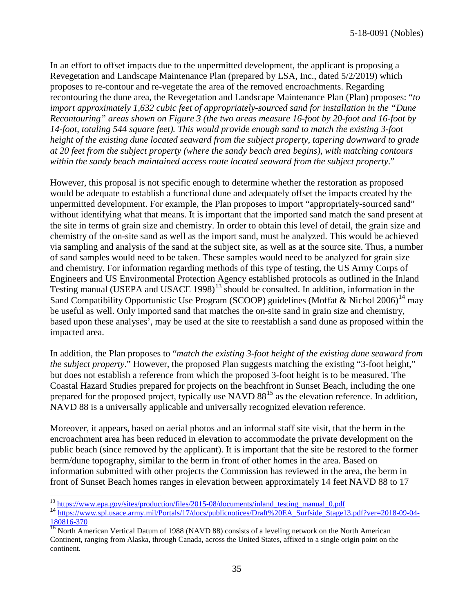In an effort to offset impacts due to the unpermitted development, the applicant is proposing a Revegetation and Landscape Maintenance Plan (prepared by LSA, Inc., dated 5/2/2019) which proposes to re-contour and re-vegetate the area of the removed encroachments. Regarding recontouring the dune area, the Revegetation and Landscape Maintenance Plan (Plan) proposes: "*to import approximately 1,632 cubic feet of appropriately-sourced sand for installation in the "Dune Recontouring" areas shown on Figure 3 (the two areas measure 16-foot by 20-foot and 16-foot by 14-foot, totaling 544 square feet). This would provide enough sand to match the existing 3-foot height of the existing dune located seaward from the subject property, tapering downward to grade at 20 feet from the subject property (where the sandy beach area begins), with matching contours within the sandy beach maintained access route located seaward from the subject property*."

However, this proposal is not specific enough to determine whether the restoration as proposed would be adequate to establish a functional dune and adequately offset the impacts created by the unpermitted development. For example, the Plan proposes to import "appropriately-sourced sand" without identifying what that means. It is important that the imported sand match the sand present at the site in terms of grain size and chemistry. In order to obtain this level of detail, the grain size and chemistry of the on-site sand as well as the import sand, must be analyzed. This would be achieved via sampling and analysis of the sand at the subject site, as well as at the source site. Thus, a number of sand samples would need to be taken. These samples would need to be analyzed for grain size and chemistry. For information regarding methods of this type of testing, the US Army Corps of Engineers and US Environmental Protection Agency established protocols as outlined in the Inland Testing manual (USEPA and USACE 1998)<sup>[13](#page-34-0)</sup> should be consulted. In addition, information in the Sand Compatibility Opportunistic Use Program (SCOOP) guidelines (Moffat & Nichol 2006)<sup>[14](#page-34-1)</sup> may be useful as well. Only imported sand that matches the on-site sand in grain size and chemistry, based upon these analyses', may be used at the site to reestablish a sand dune as proposed within the impacted area.

In addition, the Plan proposes to "*match the existing 3-foot height of the existing dune seaward from the subject property*." However, the proposed Plan suggests matching the existing "3-foot height," but does not establish a reference from which the proposed 3-foot height is to be measured. The Coastal Hazard Studies prepared for projects on the beachfront in Sunset Beach, including the one prepared for the proposed project, typically use NAVD  $88^{15}$  $88^{15}$  $88^{15}$  as the elevation reference. In addition, NAVD 88 is a universally applicable and universally recognized elevation reference.

Moreover, it appears, based on aerial photos and an informal staff site visit, that the berm in the encroachment area has been reduced in elevation to accommodate the private development on the public beach (since removed by the applicant). It is important that the site be restored to the former berm/dune topography, similar to the berm in front of other homes in the area. Based on information submitted with other projects the Commission has reviewed in the area, the berm in front of Sunset Beach homes ranges in elevation between approximately 14 feet NAVD 88 to 17

<span id="page-34-1"></span><span id="page-34-0"></span><sup>&</sup>lt;sup>13</sup> [https://www.epa.gov/sites/production/files/2015-08/documents/inland\\_testing\\_manual\\_0.pdf](https://www.epa.gov/sites/production/files/2015-08/documents/inland_testing_manual_0.pdf)<br><sup>14</sup> [https://www.spl.usace.army.mil/Portals/17/docs/publicnotices/Draft%20EA\\_Surfside\\_Stage13.pdf?ver=2018-09-04-](https://www.spl.usace.army.mil/Portals/17/docs/publicnotices/Draft%20EA_Surfside_Stage13.pdf?ver=2018-09-04-180816-370) [180816-370](https://www.spl.usace.army.mil/Portals/17/docs/publicnotices/Draft%20EA_Surfside_Stage13.pdf?ver=2018-09-04-180816-370)

<span id="page-34-2"></span><sup>&</sup>lt;sup>15</sup> North American Vertical Datum of 1988 (NAVD 88) consists of a leveling network on the North American Continent, ranging from Alaska, through Canada, across the United States, affixed to a single origin point on the continent.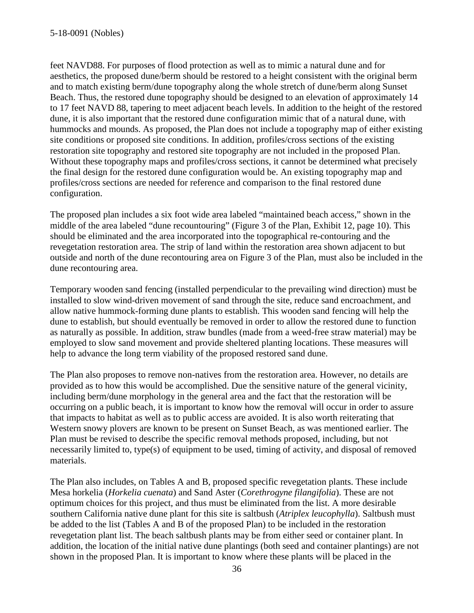feet NAVD88. For purposes of flood protection as well as to mimic a natural dune and for aesthetics, the proposed dune/berm should be restored to a height consistent with the original berm and to match existing berm/dune topography along the whole stretch of dune/berm along Sunset Beach. Thus, the restored dune topography should be designed to an elevation of approximately 14 to 17 feet NAVD 88, tapering to meet adjacent beach levels. In addition to the height of the restored dune, it is also important that the restored dune configuration mimic that of a natural dune, with hummocks and mounds. As proposed, the Plan does not include a topography map of either existing site conditions or proposed site conditions. In addition, profiles/cross sections of the existing restoration site topography and restored site topography are not included in the proposed Plan. Without these topography maps and profiles/cross sections, it cannot be determined what precisely the final design for the restored dune configuration would be. An existing topography map and profiles/cross sections are needed for reference and comparison to the final restored dune configuration.

The proposed plan includes a six foot wide area labeled "maintained beach access," shown in the middle of the area labeled "dune recountouring" (Figure 3 of the Plan, Exhibit 12, page 10). This should be eliminated and the area incorporated into the topographical re-contouring and the revegetation restoration area. The strip of land within the restoration area shown adjacent to but outside and north of the dune recontouring area on Figure 3 of the Plan, must also be included in the dune recontouring area.

Temporary wooden sand fencing (installed perpendicular to the prevailing wind direction) must be installed to slow wind-driven movement of sand through the site, reduce sand encroachment, and allow native hummock-forming dune plants to establish. This wooden sand fencing will help the dune to establish, but should eventually be removed in order to allow the restored dune to function as naturally as possible. In addition, straw bundles (made from a weed-free straw material) may be employed to slow sand movement and provide sheltered planting locations. These measures will help to advance the long term viability of the proposed restored sand dune.

The Plan also proposes to remove non-natives from the restoration area. However, no details are provided as to how this would be accomplished. Due the sensitive nature of the general vicinity, including berm/dune morphology in the general area and the fact that the restoration will be occurring on a public beach, it is important to know how the removal will occur in order to assure that impacts to habitat as well as to public access are avoided. It is also worth reiterating that Western snowy plovers are known to be present on Sunset Beach, as was mentioned earlier. The Plan must be revised to describe the specific removal methods proposed, including, but not necessarily limited to, type(s) of equipment to be used, timing of activity, and disposal of removed materials.

The Plan also includes, on Tables A and B, proposed specific revegetation plants. These include Mesa horkelia (*Horkelia cuenata*) and Sand Aster (*Corethrogyne filangifolia*). These are not optimum choices for this project, and thus must be eliminated from the list. A more desirable southern California native dune plant for this site is saltbush (*Atriplex leucophylla*). Saltbush must be added to the list (Tables A and B of the proposed Plan) to be included in the restoration revegetation plant list. The beach saltbush plants may be from either seed or container plant. In addition, the location of the initial native dune plantings (both seed and container plantings) are not shown in the proposed Plan. It is important to know where these plants will be placed in the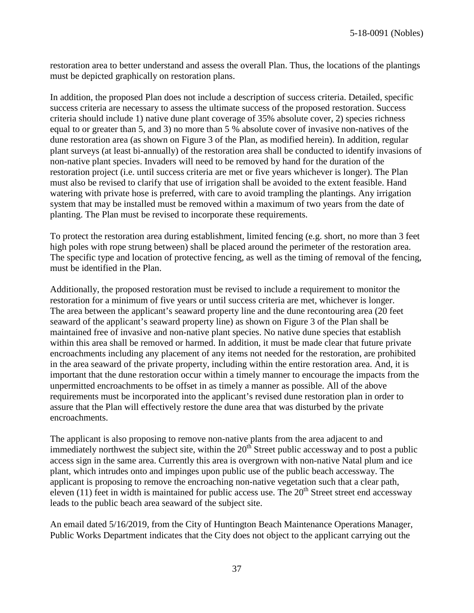restoration area to better understand and assess the overall Plan. Thus, the locations of the plantings must be depicted graphically on restoration plans.

In addition, the proposed Plan does not include a description of success criteria. Detailed, specific success criteria are necessary to assess the ultimate success of the proposed restoration. Success criteria should include 1) native dune plant coverage of 35% absolute cover, 2) species richness equal to or greater than 5, and 3) no more than 5 % absolute cover of invasive non-natives of the dune restoration area (as shown on Figure 3 of the Plan, as modified herein). In addition, regular plant surveys (at least bi-annually) of the restoration area shall be conducted to identify invasions of non-native plant species. Invaders will need to be removed by hand for the duration of the restoration project (i.e. until success criteria are met or five years whichever is longer). The Plan must also be revised to clarify that use of irrigation shall be avoided to the extent feasible. Hand watering with private hose is preferred, with care to avoid trampling the plantings. Any irrigation system that may be installed must be removed within a maximum of two years from the date of planting. The Plan must be revised to incorporate these requirements.

To protect the restoration area during establishment, limited fencing (e.g. short, no more than 3 feet high poles with rope strung between) shall be placed around the perimeter of the restoration area. The specific type and location of protective fencing, as well as the timing of removal of the fencing, must be identified in the Plan.

Additionally, the proposed restoration must be revised to include a requirement to monitor the restoration for a minimum of five years or until success criteria are met, whichever is longer. The area between the applicant's seaward property line and the dune recontouring area (20 feet seaward of the applicant's seaward property line) as shown on Figure 3 of the Plan shall be maintained free of invasive and non-native plant species. No native dune species that establish within this area shall be removed or harmed. In addition, it must be made clear that future private encroachments including any placement of any items not needed for the restoration, are prohibited in the area seaward of the private property, including within the entire restoration area. And, it is important that the dune restoration occur within a timely manner to encourage the impacts from the unpermitted encroachments to be offset in as timely a manner as possible. All of the above requirements must be incorporated into the applicant's revised dune restoration plan in order to assure that the Plan will effectively restore the dune area that was disturbed by the private encroachments.

The applicant is also proposing to remove non-native plants from the area adjacent to and immediately northwest the subject site, within the  $20<sup>th</sup>$  Street public accessway and to post a public access sign in the same area. Currently this area is overgrown with non-native Natal plum and ice plant, which intrudes onto and impinges upon public use of the public beach accessway. The applicant is proposing to remove the encroaching non-native vegetation such that a clear path, eleven (11) feet in width is maintained for public access use. The  $20<sup>th</sup>$  Street street end accessway leads to the public beach area seaward of the subject site.

An email dated 5/16/2019, from the City of Huntington Beach Maintenance Operations Manager, Public Works Department indicates that the City does not object to the applicant carrying out the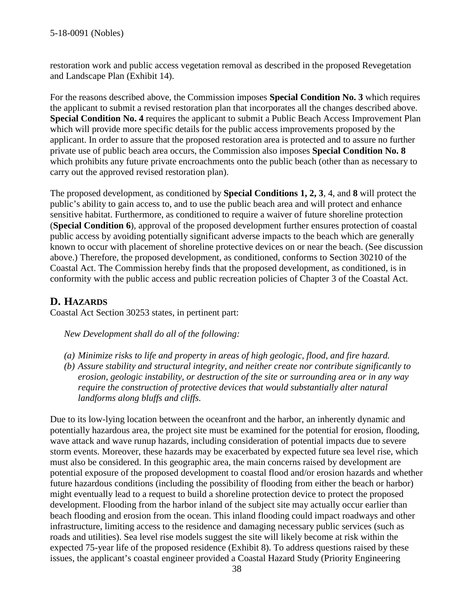restoration work and public access vegetation removal as described in the proposed Revegetation and Landscape Plan (Exhibit 14).

For the reasons described above, the Commission imposes **Special Condition No. 3** which requires the applicant to submit a revised restoration plan that incorporates all the changes described above. **Special Condition No. 4** requires the applicant to submit a Public Beach Access Improvement Plan which will provide more specific details for the public access improvements proposed by the applicant. In order to assure that the proposed restoration area is protected and to assure no further private use of public beach area occurs, the Commission also imposes **Special Condition No. 8** which prohibits any future private encroachments onto the public beach (other than as necessary to carry out the approved revised restoration plan).

The proposed development, as conditioned by **Special Conditions 1, 2, 3**, 4, and **8** will protect the public's ability to gain access to, and to use the public beach area and will protect and enhance sensitive habitat. Furthermore, as conditioned to require a waiver of future shoreline protection (**Special Condition 6**), approval of the proposed development further ensures protection of coastal public access by avoiding potentially significant adverse impacts to the beach which are generally known to occur with placement of shoreline protective devices on or near the beach. (See discussion above.) Therefore, the proposed development, as conditioned, conforms to Section 30210 of the Coastal Act. The Commission hereby finds that the proposed development, as conditioned, is in conformity with the public access and public recreation policies of Chapter 3 of the Coastal Act.

## **D. HAZARDS**

Coastal Act Section 30253 states, in pertinent part:

*New Development shall do all of the following:*

- *(a) Minimize risks to life and property in areas of high geologic, flood, and fire hazard.*
- *(b) Assure stability and structural integrity, and neither create nor contribute significantly to erosion, geologic instability, or destruction of the site or surrounding area or in any way require the construction of protective devices that would substantially alter natural landforms along bluffs and cliffs.*

Due to its low-lying location between the oceanfront and the harbor, an inherently dynamic and potentially hazardous area, the project site must be examined for the potential for erosion, flooding, wave attack and wave runup hazards, including consideration of potential impacts due to severe storm events. Moreover, these hazards may be exacerbated by expected future sea level rise, which must also be considered. In this geographic area, the main concerns raised by development are potential exposure of the proposed development to coastal flood and/or erosion hazards and whether future hazardous conditions (including the possibility of flooding from either the beach or harbor) might eventually lead to a request to build a shoreline protection device to protect the proposed development. Flooding from the harbor inland of the subject site may actually occur earlier than beach flooding and erosion from the ocean. This inland flooding could impact roadways and other infrastructure, limiting access to the residence and damaging necessary public services (such as roads and utilities). Sea level rise models suggest the site will likely become at risk within the expected 75-year life of the proposed residence (Exhibit 8). To address questions raised by these issues, the applicant's coastal engineer provided a Coastal Hazard Study (Priority Engineering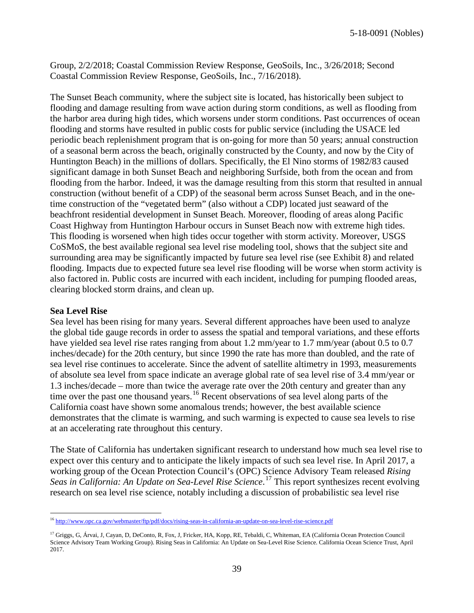5-18-0091 (Nobles)

Group, 2/2/2018; Coastal Commission Review Response, GeoSoils, Inc., 3/26/2018; Second Coastal Commission Review Response, GeoSoils, Inc., 7/16/2018).

The Sunset Beach community, where the subject site is located, has historically been subject to flooding and damage resulting from wave action during storm conditions, as well as flooding from the harbor area during high tides, which worsens under storm conditions. Past occurrences of ocean flooding and storms have resulted in public costs for public service (including the USACE led periodic beach replenishment program that is on-going for more than 50 years; annual construction of a seasonal berm across the beach, originally constructed by the County, and now by the City of Huntington Beach) in the millions of dollars. Specifically, the El Nino storms of 1982/83 caused significant damage in both Sunset Beach and neighboring Surfside, both from the ocean and from flooding from the harbor. Indeed, it was the damage resulting from this storm that resulted in annual construction (without benefit of a CDP) of the seasonal berm across Sunset Beach, and in the onetime construction of the "vegetated berm" (also without a CDP) located just seaward of the beachfront residential development in Sunset Beach. Moreover, flooding of areas along Pacific Coast Highway from Huntington Harbour occurs in Sunset Beach now with extreme high tides. This flooding is worsened when high tides occur together with storm activity. Moreover, USGS CoSMoS, the best available regional sea level rise modeling tool, shows that the subject site and surrounding area may be significantly impacted by future sea level rise (see Exhibit 8) and related flooding. Impacts due to expected future sea level rise flooding will be worse when storm activity is also factored in. Public costs are incurred with each incident, including for pumping flooded areas, clearing blocked storm drains, and clean up.

#### **Sea Level Rise**

Sea level has been rising for many years. Several different approaches have been used to analyze the global tide gauge records in order to assess the spatial and temporal variations, and these efforts have yielded sea level rise rates ranging from about 1.2 mm/year to 1.7 mm/year (about 0.5 to 0.7 inches/decade) for the 20th century, but since 1990 the rate has more than doubled, and the rate of sea level rise continues to accelerate. Since the advent of satellite altimetry in 1993, measurements of absolute sea level from space indicate an average global rate of sea level rise of 3.4 mm/year or 1.3 inches/decade – more than twice the average rate over the 20th century and greater than any time over the past one thousand years.<sup>[16](#page-38-0)</sup> Recent observations of sea level along parts of the California coast have shown some anomalous trends; however, the best available science demonstrates that the climate is warming, and such warming is expected to cause sea levels to rise at an accelerating rate throughout this century.

The State of California has undertaken significant research to understand how much sea level rise to expect over this century and to anticipate the likely impacts of such sea level rise. In April 2017, a working group of the Ocean Protection Council's (OPC) Science Advisory Team released *Rising Seas in California: An Update on Sea-Level Rise Science*. [17](#page-38-1) This report synthesizes recent evolving research on sea level rise science, notably including a discussion of probabilistic sea level rise

<span id="page-38-0"></span> <sup>16</sup> <http://www.opc.ca.gov/webmaster/ftp/pdf/docs/rising-seas-in-california-an-update-on-sea-level-rise-science.pdf>

<span id="page-38-1"></span><sup>&</sup>lt;sup>17</sup> Griggs, G, Árvai, J, Cayan, D, DeConto, R, Fox, J, Fricker, HA, Kopp, RE, Tebaldi, C, Whiteman, EA (California Ocean Protection Council Science Advisory Team Working Group). Rising Seas in California: An Update on Sea-Level Rise Science. California Ocean Science Trust, April 2017.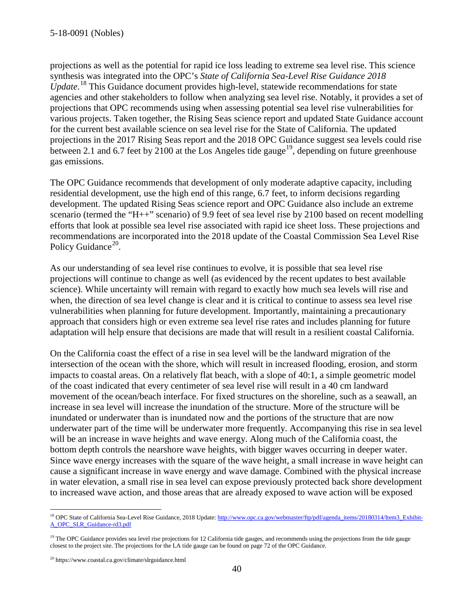projections as well as the potential for rapid ice loss leading to extreme sea level rise. This science synthesis was integrated into the OPC's *State of California Sea-Level Rise Guidance 2018 Update*. [18](#page-39-0) This Guidance document provides high-level, statewide recommendations for state agencies and other stakeholders to follow when analyzing sea level rise. Notably, it provides a set of projections that OPC recommends using when assessing potential sea level rise vulnerabilities for various projects. Taken together, the Rising Seas science report and updated State Guidance account for the current best available science on sea level rise for the State of California. The updated projections in the 2017 Rising Seas report and the 2018 OPC Guidance suggest sea levels could rise between 2.1 and 6.7 feet by 2100 at the Los Angeles tide gauge<sup>[19](#page-39-1)</sup>, depending on future greenhouse gas emissions.

The OPC Guidance recommends that development of only moderate adaptive capacity, including residential development, use the high end of this range, 6.7 feet, to inform decisions regarding development. The updated Rising Seas science report and OPC Guidance also include an extreme scenario (termed the "H++" scenario) of 9.9 feet of sea level rise by 2100 based on recent modelling efforts that look at possible sea level rise associated with rapid ice sheet loss. These projections and recommendations are incorporated into the 2018 update of the Coastal Commission Sea Level Rise Policy Guidance<sup>[20](#page-39-2)</sup>.

As our understanding of sea level rise continues to evolve, it is possible that sea level rise projections will continue to change as well (as evidenced by the recent updates to best available science). While uncertainty will remain with regard to exactly how much sea levels will rise and when, the direction of sea level change is clear and it is critical to continue to assess sea level rise vulnerabilities when planning for future development. Importantly, maintaining a precautionary approach that considers high or even extreme sea level rise rates and includes planning for future adaptation will help ensure that decisions are made that will result in a resilient coastal California.

On the California coast the effect of a rise in sea level will be the landward migration of the intersection of the ocean with the shore, which will result in increased flooding, erosion, and storm impacts to coastal areas. On a relatively flat beach, with a slope of 40:1, a simple geometric model of the coast indicated that every centimeter of sea level rise will result in a 40 cm landward movement of the ocean/beach interface. For fixed structures on the shoreline, such as a seawall, an increase in sea level will increase the inundation of the structure. More of the structure will be inundated or underwater than is inundated now and the portions of the structure that are now underwater part of the time will be underwater more frequently. Accompanying this rise in sea level will be an increase in wave heights and wave energy. Along much of the California coast, the bottom depth controls the nearshore wave heights, with bigger waves occurring in deeper water. Since wave energy increases with the square of the wave height, a small increase in wave height can cause a significant increase in wave energy and wave damage. Combined with the physical increase in water elevation, a small rise in sea level can expose previously protected back shore development to increased wave action, and those areas that are already exposed to wave action will be exposed

<span id="page-39-0"></span><sup>&</sup>lt;sup>18</sup> OPC State of California Sea-Level Rise Guidance, 2018 Update[: http://www.opc.ca.gov/webmaster/ftp/pdf/agenda\\_items/20180314/Item3\\_Exhibit-](http://www.opc.ca.gov/webmaster/ftp/pdf/agenda_items/20180314/Item3_Exhibit-A_OPC_SLR_Guidance-rd3.pdf)[A\\_OPC\\_SLR\\_Guidance-rd3.pdf](http://www.opc.ca.gov/webmaster/ftp/pdf/agenda_items/20180314/Item3_Exhibit-A_OPC_SLR_Guidance-rd3.pdf)

<span id="page-39-1"></span><sup>&</sup>lt;sup>19</sup> The OPC Guidance provides sea level rise projections for 12 California tide gauges, and recommends using the projections from the tide gauge closest to the project site. The projections for the LA tide gauge can be found on page 72 of the OPC Guidance.

<span id="page-39-2"></span><sup>20</sup> https://www.coastal.ca.gov/climate/slrguidance.html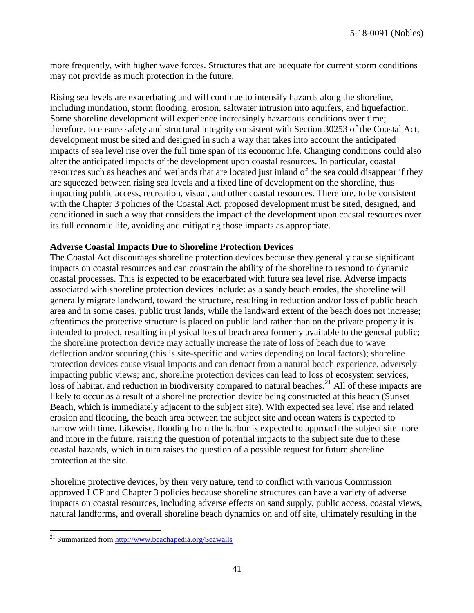more frequently, with higher wave forces. Structures that are adequate for current storm conditions may not provide as much protection in the future.

Rising sea levels are exacerbating and will continue to intensify hazards along the shoreline, including inundation, storm flooding, erosion, saltwater intrusion into aquifers, and liquefaction. Some shoreline development will experience increasingly hazardous conditions over time; therefore, to ensure safety and structural integrity consistent with Section 30253 of the Coastal Act, development must be sited and designed in such a way that takes into account the anticipated impacts of sea level rise over the full time span of its economic life. Changing conditions could also alter the anticipated impacts of the development upon coastal resources. In particular, coastal resources such as beaches and wetlands that are located just inland of the sea could disappear if they are squeezed between rising sea levels and a fixed line of development on the shoreline, thus impacting public access, recreation, visual, and other coastal resources. Therefore, to be consistent with the Chapter 3 policies of the Coastal Act, proposed development must be sited, designed, and conditioned in such a way that considers the impact of the development upon coastal resources over its full economic life, avoiding and mitigating those impacts as appropriate.

#### **Adverse Coastal Impacts Due to Shoreline Protection Devices**

The Coastal Act discourages shoreline protection devices because they generally cause significant impacts on coastal resources and can constrain the ability of the shoreline to respond to dynamic coastal processes. This is expected to be exacerbated with future sea level rise. Adverse impacts associated with shoreline protection devices include: as a sandy beach erodes, the shoreline will generally migrate landward, toward the structure, resulting in reduction and/or loss of public beach area and in some cases, public trust lands, while the landward extent of the beach does not increase; oftentimes the protective structure is placed on public land rather than on the private property it is intended to protect, resulting in physical loss of beach area formerly available to the general public; the shoreline protection device may actually increase the rate of loss of beach due to wave deflection and/or scouring (this is site-specific and varies depending on local factors); shoreline protection devices cause visual impacts and can detract from a natural beach experience, adversely impacting public views; and, shoreline protection devices can lead to [loss of ecosystem services,](http://www.esajournals.org/doi/abs/10.1890/14-0716.1) [loss of habitat, and reduction in biodiversity](http://pubs.usgs.gov/sir/2010/5254/pdf/sir20105254_chap19.pdf) compared to natural beaches.<sup>[21](#page-40-0)</sup> All of these impacts are likely to occur as a result of a shoreline protection device being constructed at this beach (Sunset Beach, which is immediately adjacent to the subject site). With expected sea level rise and related erosion and flooding, the beach area between the subject site and ocean waters is expected to narrow with time. Likewise, flooding from the harbor is expected to approach the subject site more and more in the future, raising the question of potential impacts to the subject site due to these coastal hazards, which in turn raises the question of a possible request for future shoreline protection at the site.

Shoreline protective devices, by their very nature, tend to conflict with various Commission approved LCP and Chapter 3 policies because shoreline structures can have a variety of adverse impacts on coastal resources, including adverse effects on sand supply, public access, coastal views, natural landforms, and overall shoreline beach dynamics on and off site, ultimately resulting in the

<span id="page-40-0"></span><sup>&</sup>lt;sup>21</sup> Summarized from<http://www.beachapedia.org/Seawalls>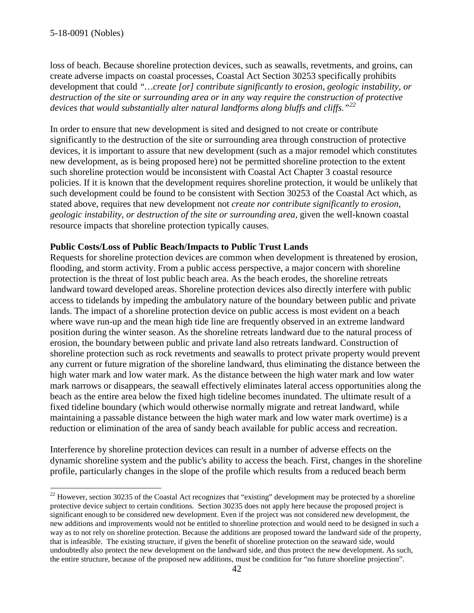loss of beach. Because shoreline protection devices, such as seawalls, revetments, and groins, can create adverse impacts on coastal processes, Coastal Act Section 30253 specifically prohibits development that could *"…create [or] contribute significantly to erosion, geologic instability, or destruction of the site or surrounding area or in any way require the construction of protective devices that would substantially alter natural landforms along bluffs and cliffs."[22](#page-41-0)*

In order to ensure that new development is sited and designed to not create or contribute significantly to the destruction of the site or surrounding area through construction of protective devices, it is important to assure that new development (such as a major remodel which constitutes new development, as is being proposed here) not be permitted shoreline protection to the extent such shoreline protection would be inconsistent with Coastal Act Chapter 3 coastal resource policies. If it is known that the development requires shoreline protection, it would be unlikely that such development could be found to be consistent with Section 30253 of the Coastal Act which, as stated above, requires that new development not *create nor contribute significantly to erosion, geologic instability, or destruction of the site or surrounding area,* given the well-known coastal resource impacts that shoreline protection typically causes.

#### **Public Costs/Loss of Public Beach/Impacts to Public Trust Lands**

Requests for shoreline protection devices are common when development is threatened by erosion, flooding, and storm activity. From a public access perspective, a major concern with shoreline protection is the threat of lost public beach area. As the beach erodes, the shoreline retreats landward toward developed areas. Shoreline protection devices also directly interfere with public access to tidelands by impeding the ambulatory nature of the boundary between public and private lands. The impact of a shoreline protection device on public access is most evident on a beach where wave run-up and the mean high tide line are frequently observed in an extreme landward position during the winter season. As the shoreline retreats landward due to the natural process of erosion, the boundary between public and private land also retreats landward. Construction of shoreline protection such as rock revetments and seawalls to protect private property would prevent any current or future migration of the shoreline landward, thus eliminating the distance between the high water mark and low water mark. As the distance between the high water mark and low water mark narrows or disappears, the seawall effectively eliminates lateral access opportunities along the beach as the entire area below the fixed high tideline becomes inundated. The ultimate result of a fixed tideline boundary (which would otherwise normally migrate and retreat landward, while maintaining a passable distance between the high water mark and low water mark overtime) is a reduction or elimination of the area of sandy beach available for public access and recreation.

Interference by shoreline protection devices can result in a number of adverse effects on the dynamic shoreline system and the public's ability to access the beach. First, changes in the shoreline profile, particularly changes in the slope of the profile which results from a reduced beach berm

<span id="page-41-0"></span> $^{22}$  However, section 30235 of the Coastal Act recognizes that "existing" development may be protected by a shoreline protective device subject to certain conditions. Section 30235 does not apply here because the proposed project is significant enough to be considered new development. Even if the project was not considered new development, the new additions and improvements would not be entitled to shoreline protection and would need to be designed in such a way as to not rely on shoreline protection. Because the additions are proposed toward the landward side of the property, that is infeasible. The existing structure, if given the benefit of shoreline protection on the seaward side, would undoubtedly also protect the new development on the landward side, and thus protect the new development. As such, the entire structure, because of the proposed new additions, must be condition for "no future shoreline projection".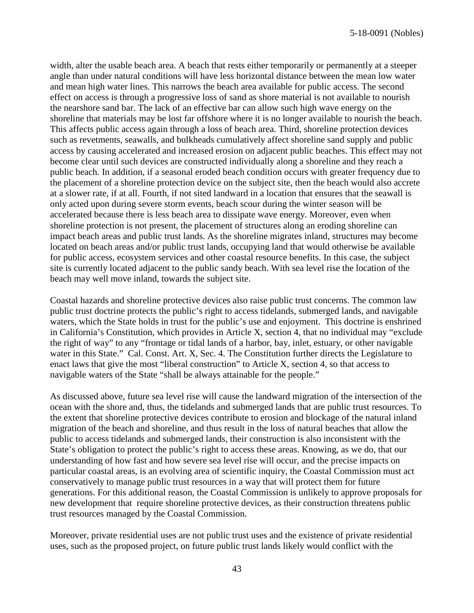width, alter the usable beach area. A beach that rests either temporarily or permanently at a steeper angle than under natural conditions will have less horizontal distance between the mean low water and mean high water lines. This narrows the beach area available for public access. The second effect on access is through a progressive loss of sand as shore material is not available to nourish the nearshore sand bar. The lack of an effective bar can allow such high wave energy on the shoreline that materials may be lost far offshore where it is no longer available to nourish the beach. This affects public access again through a loss of beach area. Third, shoreline protection devices such as revetments, seawalls, and bulkheads cumulatively affect shoreline sand supply and public access by causing accelerated and increased erosion on adjacent public beaches. This effect may not become clear until such devices are constructed individually along a shoreline and they reach a public beach. In addition, if a seasonal eroded beach condition occurs with greater frequency due to the placement of a shoreline protection device on the subject site, then the beach would also accrete at a slower rate, if at all. Fourth, if not sited landward in a location that ensures that the seawall is only acted upon during severe storm events, beach scour during the winter season will be accelerated because there is less beach area to dissipate wave energy. Moreover, even when shoreline protection is not present, the placement of structures along an eroding shoreline can impact beach areas and public trust lands. As the shoreline migrates inland, structures may become located on beach areas and/or public trust lands, occupying land that would otherwise be available for public access, ecosystem services and other coastal resource benefits. In this case, the subject site is currently located adjacent to the public sandy beach. With sea level rise the location of the beach may well move inland, towards the subject site.

Coastal hazards and shoreline protective devices also raise public trust concerns. The common law public trust doctrine protects the public's right to access tidelands, submerged lands, and navigable waters, which the State holds in trust for the public's use and enjoyment. This doctrine is enshrined in California's Constitution, which provides in Article X, section 4, that no individual may "exclude the right of way" to any "frontage or tidal lands of a harbor, bay, inlet, estuary, or other navigable water in this State." Cal. Const. Art. X, Sec. 4. The Constitution further directs the Legislature to enact laws that give the most "liberal construction" to Article X, section 4, so that access to navigable waters of the State "shall be always attainable for the people."

As discussed above, future sea level rise will cause the landward migration of the intersection of the ocean with the shore and, thus, the tidelands and submerged lands that are public trust resources. To the extent that shoreline protective devices contribute to erosion and blockage of the natural inland migration of the beach and shoreline, and thus result in the loss of natural beaches that allow the public to access tidelands and submerged lands, their construction is also inconsistent with the State's obligation to protect the public's right to access these areas. Knowing, as we do, that our understanding of how fast and how severe sea level rise will occur, and the precise impacts on particular coastal areas, is an evolving area of scientific inquiry, the Coastal Commission must act conservatively to manage public trust resources in a way that will protect them for future generations. For this additional reason, the Coastal Commission is unlikely to approve proposals for new development that require shoreline protective devices, as their construction threatens public trust resources managed by the Coastal Commission.

Moreover, private residential uses are not public trust uses and the existence of private residential uses, such as the proposed project, on future public trust lands likely would conflict with the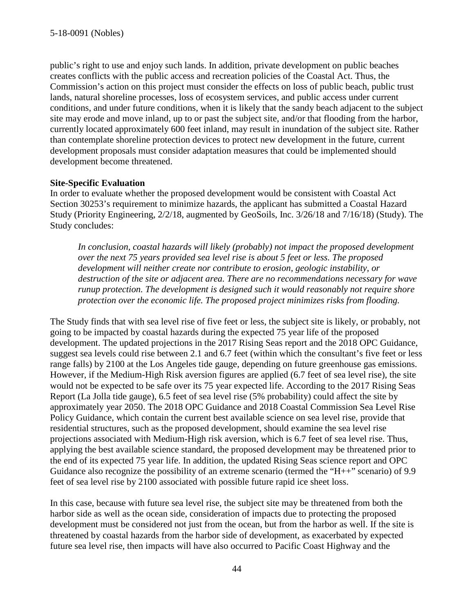public's right to use and enjoy such lands. In addition, private development on public beaches creates conflicts with the public access and recreation policies of the Coastal Act. Thus, the Commission's action on this project must consider the effects on loss of public beach, public trust lands, natural shoreline processes, [loss of ecosystem services,](http://www.esajournals.org/doi/abs/10.1890/14-0716.1) and public access under current conditions, and under future conditions, when it is likely that the sandy beach adjacent to the subject site may erode and move inland, up to or past the subject site, and/or that flooding from the harbor, currently located approximately 600 feet inland, may result in inundation of the subject site. Rather than contemplate shoreline protection devices to protect new development in the future, current development proposals must consider adaptation measures that could be implemented should development become threatened.

#### **Site-Specific Evaluation**

In order to evaluate whether the proposed development would be consistent with Coastal Act Section 30253's requirement to minimize hazards, the applicant has submitted a Coastal Hazard Study (Priority Engineering, 2/2/18, augmented by GeoSoils, Inc. 3/26/18 and 7/16/18) (Study). The Study concludes:

*In conclusion, coastal hazards will likely (probably) not impact the proposed development over the next 75 years provided sea level rise is about 5 feet or less. The proposed development will neither create nor contribute to erosion, geologic instability, or destruction of the site or adjacent area. There are no recommendations necessary for wave runup protection. The development is designed such it would reasonably not require shore protection over the economic life. The proposed project minimizes risks from flooding.*

The Study finds that with sea level rise of five feet or less, the subject site is likely, or probably, not going to be impacted by coastal hazards during the expected 75 year life of the proposed development. The updated projections in the 2017 Rising Seas report and the 2018 OPC Guidance, suggest sea levels could rise between 2.1 and 6.7 feet (within which the consultant's five feet or less range falls) by 2100 at the Los Angeles tide gauge, depending on future greenhouse gas emissions. However, if the Medium-High Risk aversion figures are applied (6.7 feet of sea level rise), the site would not be expected to be safe over its 75 year expected life. According to the 2017 Rising Seas Report (La Jolla tide gauge), 6.5 feet of sea level rise (5% probability) could affect the site by approximately year 2050. The 2018 OPC Guidance and 2018 Coastal Commission Sea Level Rise Policy Guidance, which contain the current best available science on sea level rise, provide that residential structures, such as the proposed development, should examine the sea level rise projections associated with Medium-High risk aversion, which is 6.7 feet of sea level rise. Thus, applying the best available science standard, the proposed development may be threatened prior to the end of its expected 75 year life. In addition, the updated Rising Seas science report and OPC Guidance also recognize the possibility of an extreme scenario (termed the " $H_{++}$ " scenario) of 9.9 feet of sea level rise by 2100 associated with possible future rapid ice sheet loss.

In this case, because with future sea level rise, the subject site may be threatened from both the harbor side as well as the ocean side, consideration of impacts due to protecting the proposed development must be considered not just from the ocean, but from the harbor as well. If the site is threatened by coastal hazards from the harbor side of development, as exacerbated by expected future sea level rise, then impacts will have also occurred to Pacific Coast Highway and the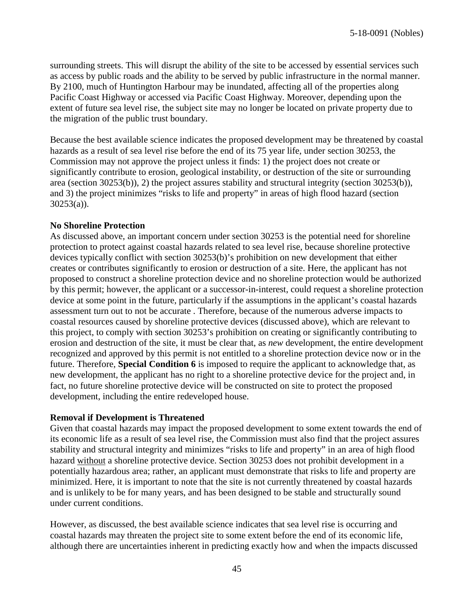surrounding streets. This will disrupt the ability of the site to be accessed by essential services such as access by public roads and the ability to be served by public infrastructure in the normal manner. By 2100, much of Huntington Harbour may be inundated, affecting all of the properties along Pacific Coast Highway or accessed via Pacific Coast Highway. Moreover, depending upon the extent of future sea level rise, the subject site may no longer be located on private property due to the migration of the public trust boundary.

Because the best available science indicates the proposed development may be threatened by coastal hazards as a result of sea level rise before the end of its 75 year life, under section 30253, the Commission may not approve the project unless it finds: 1) the project does not create or significantly contribute to erosion, geological instability, or destruction of the site or surrounding area (section 30253(b)), 2) the project assures stability and structural integrity (section 30253(b)), and 3) the project minimizes "risks to life and property" in areas of high flood hazard (section  $30253(a)$ ).

#### **No Shoreline Protection**

As discussed above, an important concern under section 30253 is the potential need for shoreline protection to protect against coastal hazards related to sea level rise, because shoreline protective devices typically conflict with section 30253(b)'s prohibition on new development that either creates or contributes significantly to erosion or destruction of a site. Here, the applicant has not proposed to construct a shoreline protection device and no shoreline protection would be authorized by this permit; however, the applicant or a successor-in-interest, could request a shoreline protection device at some point in the future, particularly if the assumptions in the applicant's coastal hazards assessment turn out to not be accurate . Therefore, because of the numerous adverse impacts to coastal resources caused by shoreline protective devices (discussed above), which are relevant to this project, to comply with section 30253's prohibition on creating or significantly contributing to erosion and destruction of the site, it must be clear that, as *new* development, the entire development recognized and approved by this permit is not entitled to a shoreline protection device now or in the future. Therefore, **Special Condition 6** is imposed to require the applicant to acknowledge that, as new development, the applicant has no right to a shoreline protective device for the project and, in fact, no future shoreline protective device will be constructed on site to protect the proposed development, including the entire redeveloped house.

#### **Removal if Development is Threatened**

Given that coastal hazards may impact the proposed development to some extent towards the end of its economic life as a result of sea level rise, the Commission must also find that the project assures stability and structural integrity and minimizes "risks to life and property" in an area of high flood hazard without a shoreline protective device. Section 30253 does not prohibit development in a potentially hazardous area; rather, an applicant must demonstrate that risks to life and property are minimized. Here, it is important to note that the site is not currently threatened by coastal hazards and is unlikely to be for many years, and has been designed to be stable and structurally sound under current conditions.

However, as discussed, the best available science indicates that sea level rise is occurring and coastal hazards may threaten the project site to some extent before the end of its economic life, although there are uncertainties inherent in predicting exactly how and when the impacts discussed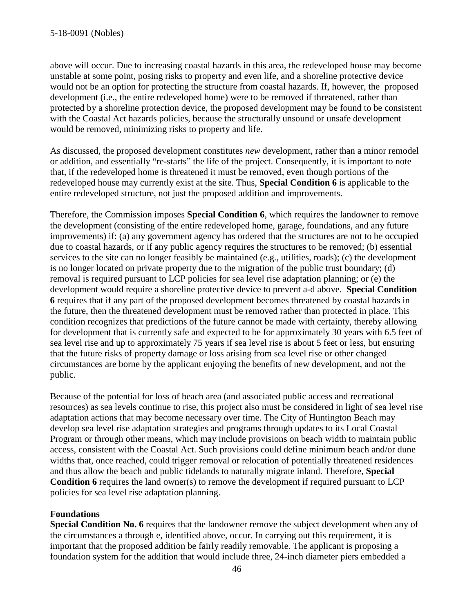above will occur. Due to increasing coastal hazards in this area, the redeveloped house may become unstable at some point, posing risks to property and even life, and a shoreline protective device would not be an option for protecting the structure from coastal hazards. If, however, the proposed development (i.e., the entire redeveloped home) were to be removed if threatened, rather than protected by a shoreline protection device, the proposed development may be found to be consistent with the Coastal Act hazards policies, because the structurally unsound or unsafe development would be removed, minimizing risks to property and life.

As discussed, the proposed development constitutes *new* development, rather than a minor remodel or addition, and essentially "re-starts" the life of the project. Consequently, it is important to note that, if the redeveloped home is threatened it must be removed, even though portions of the redeveloped house may currently exist at the site. Thus, **Special Condition 6** is applicable to the entire redeveloped structure, not just the proposed addition and improvements.

Therefore, the Commission imposes **Special Condition 6**, which requires the landowner to remove the development (consisting of the entire redeveloped home, garage, foundations, and any future improvements) if: (a) any government agency has ordered that the structures are not to be occupied due to coastal hazards, or if any public agency requires the structures to be removed; (b) essential services to the site can no longer feasibly be maintained (e.g., utilities, roads); (c) the development is no longer located on private property due to the migration of the public trust boundary; (d) removal is required pursuant to LCP policies for sea level rise adaptation planning; or (e) the development would require a shoreline protective device to prevent a-d above. **Special Condition 6** requires that if any part of the proposed development becomes threatened by coastal hazards in the future, then the threatened development must be removed rather than protected in place. This condition recognizes that predictions of the future cannot be made with certainty, thereby allowing for development that is currently safe and expected to be for approximately 30 years with 6.5 feet of sea level rise and up to approximately 75 years if sea level rise is about 5 feet or less, but ensuring that the future risks of property damage or loss arising from sea level rise or other changed circumstances are borne by the applicant enjoying the benefits of new development, and not the public.

Because of the potential for loss of beach area (and associated public access and recreational resources) as sea levels continue to rise, this project also must be considered in light of sea level rise adaptation actions that may become necessary over time. The City of Huntington Beach may develop sea level rise adaptation strategies and programs through updates to its Local Coastal Program or through other means, which may include provisions on beach width to maintain public access, consistent with the Coastal Act. Such provisions could define minimum beach and/or dune widths that, once reached, could trigger removal or relocation of potentially threatened residences and thus allow the beach and public tidelands to naturally migrate inland. Therefore, **Special Condition 6** requires the land owner(s) to remove the development if required pursuant to LCP policies for sea level rise adaptation planning.

#### **Foundations**

**Special Condition No. 6** requires that the landowner remove the subject development when any of the circumstances a through e, identified above, occur. In carrying out this requirement, it is important that the proposed addition be fairly readily removable. The applicant is proposing a foundation system for the addition that would include three, 24-inch diameter piers embedded a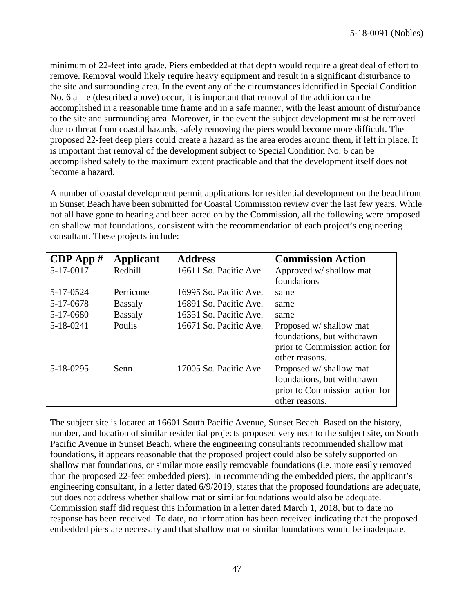minimum of 22-feet into grade. Piers embedded at that depth would require a great deal of effort to remove. Removal would likely require heavy equipment and result in a significant disturbance to the site and surrounding area. In the event any of the circumstances identified in Special Condition No.  $6a - e$  (described above) occur, it is important that removal of the addition can be accomplished in a reasonable time frame and in a safe manner, with the least amount of disturbance to the site and surrounding area. Moreover, in the event the subject development must be removed due to threat from coastal hazards, safely removing the piers would become more difficult. The proposed 22-feet deep piers could create a hazard as the area erodes around them, if left in place. It is important that removal of the development subject to Special Condition No. 6 can be accomplished safely to the maximum extent practicable and that the development itself does not become a hazard.

A number of coastal development permit applications for residential development on the beachfront in Sunset Beach have been submitted for Coastal Commission review over the last few years. While not all have gone to hearing and been acted on by the Commission, all the following were proposed on shallow mat foundations, consistent with the recommendation of each project's engineering consultant. These projects include:

| $CDP$ App $#$ | <b>Applicant</b> | <b>Address</b>         | <b>Commission Action</b>       |
|---------------|------------------|------------------------|--------------------------------|
| 5-17-0017     | Redhill          | 16611 So. Pacific Ave. | Approved w/ shallow mat        |
|               |                  |                        | foundations                    |
| 5-17-0524     | Perricone        | 16995 So. Pacific Ave. | same                           |
| 5-17-0678     | <b>Bassaly</b>   | 16891 So. Pacific Ave. | same                           |
| 5-17-0680     | <b>Bassaly</b>   | 16351 So. Pacific Ave. | same                           |
| 5-18-0241     | Poulis           | 16671 So. Pacific Ave. | Proposed w/ shallow mat        |
|               |                  |                        | foundations, but withdrawn     |
|               |                  |                        | prior to Commission action for |
|               |                  |                        | other reasons.                 |
| 5-18-0295     | Senn             | 17005 So. Pacific Ave. | Proposed w/ shallow mat        |
|               |                  |                        | foundations, but withdrawn     |
|               |                  |                        | prior to Commission action for |
|               |                  |                        | other reasons.                 |

The subject site is located at 16601 South Pacific Avenue, Sunset Beach. Based on the history, number, and location of similar residential projects proposed very near to the subject site, on South Pacific Avenue in Sunset Beach, where the engineering consultants recommended shallow mat foundations, it appears reasonable that the proposed project could also be safely supported on shallow mat foundations, or similar more easily removable foundations (i.e. more easily removed than the proposed 22-feet embedded piers). In recommending the embedded piers, the applicant's engineering consultant, in a letter dated 6/9/2019, states that the proposed foundations are adequate, but does not address whether shallow mat or similar foundations would also be adequate. Commission staff did request this information in a letter dated March 1, 2018, but to date no response has been received. To date, no information has been received indicating that the proposed embedded piers are necessary and that shallow mat or similar foundations would be inadequate.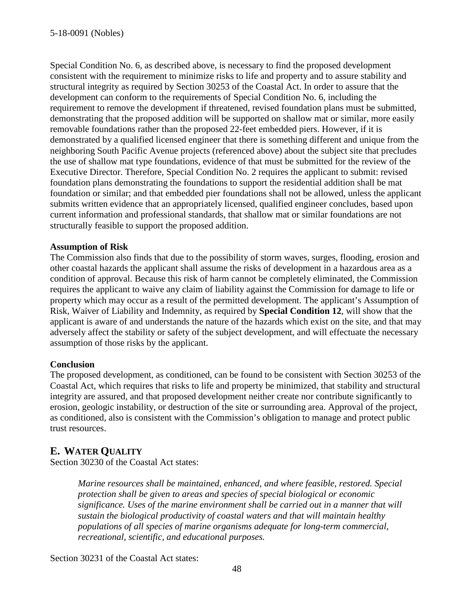Special Condition No. 6, as described above, is necessary to find the proposed development consistent with the requirement to minimize risks to life and property and to assure stability and structural integrity as required by Section 30253 of the Coastal Act. In order to assure that the development can conform to the requirements of Special Condition No. 6, including the requirement to remove the development if threatened, revised foundation plans must be submitted, demonstrating that the proposed addition will be supported on shallow mat or similar, more easily removable foundations rather than the proposed 22-feet embedded piers. However, if it is demonstrated by a qualified licensed engineer that there is something different and unique from the neighboring South Pacific Avenue projects (referenced above) about the subject site that precludes the use of shallow mat type foundations, evidence of that must be submitted for the review of the Executive Director. Therefore, Special Condition No. 2 requires the applicant to submit: revised foundation plans demonstrating the foundations to support the residential addition shall be mat foundation or similar; and that embedded pier foundations shall not be allowed, unless the applicant submits written evidence that an appropriately licensed, qualified engineer concludes, based upon current information and professional standards, that shallow mat or similar foundations are not structurally feasible to support the proposed addition.

#### **Assumption of Risk**

The Commission also finds that due to the possibility of storm waves, surges, flooding, erosion and other coastal hazards the applicant shall assume the risks of development in a hazardous area as a condition of approval. Because this risk of harm cannot be completely eliminated, the Commission requires the applicant to waive any claim of liability against the Commission for damage to life or property which may occur as a result of the permitted development. The applicant's Assumption of Risk, Waiver of Liability and Indemnity, as required by **Special Condition 12**, will show that the applicant is aware of and understands the nature of the hazards which exist on the site, and that may adversely affect the stability or safety of the subject development, and will effectuate the necessary assumption of those risks by the applicant.

#### **Conclusion**

The proposed development, as conditioned, can be found to be consistent with Section 30253 of the Coastal Act, which requires that risks to life and property be minimized, that stability and structural integrity are assured, and that proposed development neither create nor contribute significantly to erosion, geologic instability, or destruction of the site or surrounding area. Approval of the project, as conditioned, also is consistent with the Commission's obligation to manage and protect public trust resources.

## **E. WATER QUALITY**

Section 30230 of the Coastal Act states:

*Marine resources shall be maintained, enhanced, and where feasible, restored. Special protection shall be given to areas and species of special biological or economic significance. Uses of the marine environment shall be carried out in a manner that will sustain the biological productivity of coastal waters and that will maintain healthy populations of all species of marine organisms adequate for long-term commercial, recreational, scientific, and educational purposes.*

Section 30231 of the Coastal Act states: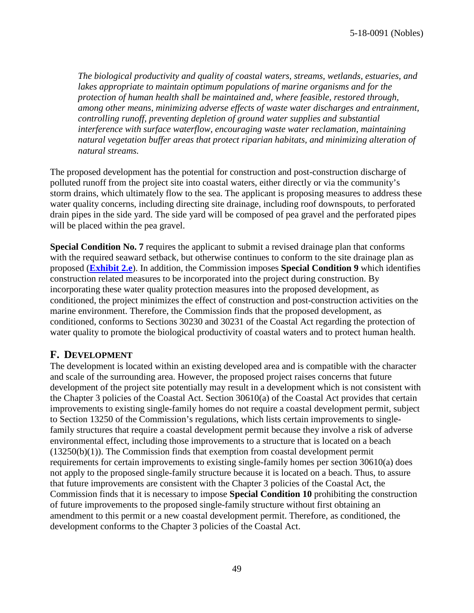*The biological productivity and quality of coastal waters, streams, wetlands, estuaries, and lakes appropriate to maintain optimum populations of marine organisms and for the protection of human health shall be maintained and, where feasible, restored through, among other means, minimizing adverse effects of waste water discharges and entrainment, controlling runoff, preventing depletion of ground water supplies and substantial interference with surface waterflow, encouraging waste water reclamation, maintaining natural vegetation buffer areas that protect riparian habitats, and minimizing alteration of natural streams.*

The proposed development has the potential for construction and post-construction discharge of polluted runoff from the project site into coastal waters, either directly or via the community's storm drains, which ultimately flow to the sea. The applicant is proposing measures to address these water quality concerns, including directing site drainage, including roof downspouts, to perforated drain pipes in the side yard. The side yard will be composed of pea gravel and the perforated pipes will be placed within the pea gravel.

**Special Condition No. 7** requires the applicant to submit a revised drainage plan that conforms with the required seaward setback, but otherwise continues to conform to the site drainage plan as proposed (**[Exhibit 2.e](https://documents.coastal.ca.gov/reports/2019/4/th18b/th18b-4-2019-exhibits.pdf)**). In addition, the Commission imposes **Special Condition 9** which identifies construction related measures to be incorporated into the project during construction. By incorporating these water quality protection measures into the proposed development, as conditioned, the project minimizes the effect of construction and post-construction activities on the marine environment. Therefore, the Commission finds that the proposed development, as conditioned, conforms to Sections 30230 and 30231 of the Coastal Act regarding the protection of water quality to promote the biological productivity of coastal waters and to protect human health.

## **F. DEVELOPMENT**

The development is located within an existing developed area and is compatible with the character and scale of the surrounding area. However, the proposed project raises concerns that future development of the project site potentially may result in a development which is not consistent with the Chapter 3 policies of the Coastal Act. Section 30610(a) of the Coastal Act provides that certain improvements to existing single-family homes do not require a coastal development permit, subject to Section 13250 of the Commission's regulations, which lists certain improvements to singlefamily structures that require a coastal development permit because they involve a risk of adverse environmental effect, including those improvements to a structure that is located on a beach  $(13250(b)(1))$ . The Commission finds that exemption from coastal development permit requirements for certain improvements to existing single-family homes per section 30610(a) does not apply to the proposed single-family structure because it is located on a beach. Thus, to assure that future improvements are consistent with the Chapter 3 policies of the Coastal Act, the Commission finds that it is necessary to impose **Special Condition 10** prohibiting the construction of future improvements to the proposed single-family structure without first obtaining an amendment to this permit or a new coastal development permit. Therefore, as conditioned, the development conforms to the Chapter 3 policies of the Coastal Act.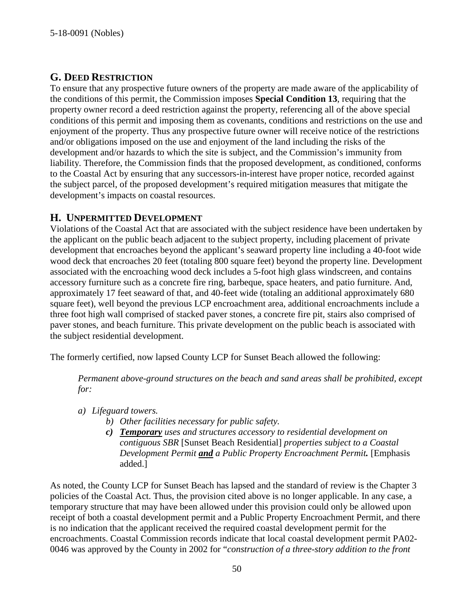## **G. DEED RESTRICTION**

To ensure that any prospective future owners of the property are made aware of the applicability of the conditions of this permit, the Commission imposes **Special Condition 13**, requiring that the property owner record a deed restriction against the property, referencing all of the above special conditions of this permit and imposing them as covenants, conditions and restrictions on the use and enjoyment of the property. Thus any prospective future owner will receive notice of the restrictions and/or obligations imposed on the use and enjoyment of the land including the risks of the development and/or hazards to which the site is subject, and the Commission's immunity from liability. Therefore, the Commission finds that the proposed development, as conditioned, conforms to the Coastal Act by ensuring that any successors-in-interest have proper notice, recorded against the subject parcel, of the proposed development's required mitigation measures that mitigate the development's impacts on coastal resources.

## **H. UNPERMITTED DEVELOPMENT**

Violations of the Coastal Act that are associated with the subject residence have been undertaken by the applicant on the public beach adjacent to the subject property, including placement of private development that encroaches beyond the applicant's seaward property line including a 40-foot wide wood deck that encroaches 20 feet (totaling 800 square feet) beyond the property line. Development associated with the encroaching wood deck includes a 5-foot high glass windscreen, and contains accessory furniture such as a concrete fire ring, barbeque, space heaters, and patio furniture. And, approximately 17 feet seaward of that, and 40-feet wide (totaling an additional approximately 680 square feet), well beyond the previous LCP encroachment area, additional encroachments include a three foot high wall comprised of stacked paver stones, a concrete fire pit, stairs also comprised of paver stones, and beach furniture. This private development on the public beach is associated with the subject residential development.

The formerly certified, now lapsed County LCP for Sunset Beach allowed the following:

*Permanent above-ground structures on the beach and sand areas shall be prohibited, except for:*

- *a) Lifeguard towers.*
	- *b) Other facilities necessary for public safety.*
	- *c) Temporary uses and structures accessory to residential development on contiguous SBR* [Sunset Beach Residential] *properties subject to a Coastal Development Permit and a Public Property Encroachment Permit.* [Emphasis added.]

As noted, the County LCP for Sunset Beach has lapsed and the standard of review is the Chapter 3 policies of the Coastal Act. Thus, the provision cited above is no longer applicable. In any case, a temporary structure that may have been allowed under this provision could only be allowed upon receipt of both a coastal development permit and a Public Property Encroachment Permit, and there is no indication that the applicant received the required coastal development permit for the encroachments. Coastal Commission records indicate that local coastal development permit PA02- 0046 was approved by the County in 2002 for "*construction of a three-story addition to the front*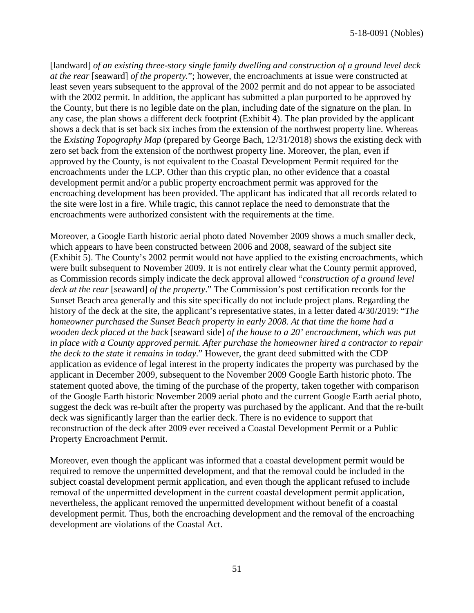[landward] *of an existing three-story single family dwelling and construction of a ground level deck at the rear* [seaward] *of the property.*"; however, the encroachments at issue were constructed at least seven years subsequent to the approval of the 2002 permit and do not appear to be associated with the 2002 permit. In addition, the applicant has submitted a plan purported to be approved by the County, but there is no legible date on the plan, including date of the signature on the plan. In any case, the plan shows a different deck footprint (Exhibit 4). The plan provided by the applicant shows a deck that is set back six inches from the extension of the northwest property line. Whereas the *Existing Topography Map* (prepared by George Bach, 12/31/2018) shows the existing deck with zero set back from the extension of the northwest property line. Moreover, the plan, even if approved by the County, is not equivalent to the Coastal Development Permit required for the encroachments under the LCP. Other than this cryptic plan, no other evidence that a coastal development permit and/or a public property encroachment permit was approved for the encroaching development has been provided. The applicant has indicated that all records related to the site were lost in a fire. While tragic, this cannot replace the need to demonstrate that the encroachments were authorized consistent with the requirements at the time.

Moreover, a Google Earth historic aerial photo dated November 2009 shows a much smaller deck, which appears to have been constructed between 2006 and 2008, seaward of the subject site (Exhibit 5). The County's 2002 permit would not have applied to the existing encroachments, which were built subsequent to November 2009. It is not entirely clear what the County permit approved, as Commission records simply indicate the deck approval allowed "*construction of a ground level deck at the rear* [seaward] *of the property*." The Commission's post certification records for the Sunset Beach area generally and this site specifically do not include project plans. Regarding the history of the deck at the site, the applicant's representative states, in a letter dated 4/30/2019: "*The homeowner purchased the Sunset Beach property in early 2008. At that time the home had a wooden deck placed at the back* [seaward side] *of the house to a 20' encroachment, which was put in place with a County approved permit. After purchase the homeowner hired a contractor to repair the deck to the state it remains in today*." However, the grant deed submitted with the CDP application as evidence of legal interest in the property indicates the property was purchased by the applicant in December 2009, subsequent to the November 2009 Google Earth historic photo. The statement quoted above, the timing of the purchase of the property, taken together with comparison of the Google Earth historic November 2009 aerial photo and the current Google Earth aerial photo, suggest the deck was re-built after the property was purchased by the applicant. And that the re-built deck was significantly larger than the earlier deck. There is no evidence to support that reconstruction of the deck after 2009 ever received a Coastal Development Permit or a Public Property Encroachment Permit.

Moreover, even though the applicant was informed that a coastal development permit would be required to remove the unpermitted development, and that the removal could be included in the subject coastal development permit application, and even though the applicant refused to include removal of the unpermitted development in the current coastal development permit application, nevertheless, the applicant removed the unpermitted development without benefit of a coastal development permit. Thus, both the encroaching development and the removal of the encroaching development are violations of the Coastal Act.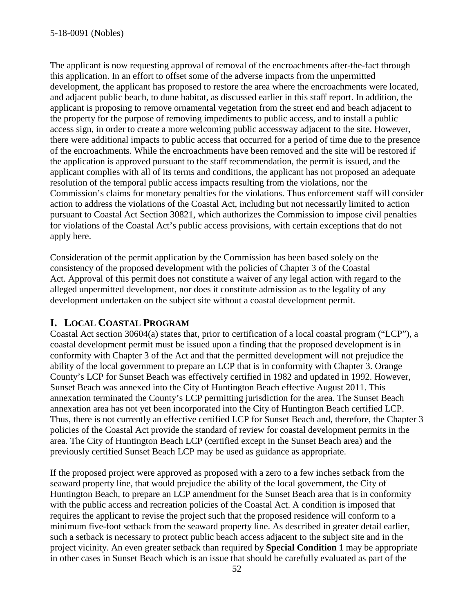The applicant is now requesting approval of removal of the encroachments after-the-fact through this application. In an effort to offset some of the adverse impacts from the unpermitted development, the applicant has proposed to restore the area where the encroachments were located, and adjacent public beach, to dune habitat, as discussed earlier in this staff report. In addition, the applicant is proposing to remove ornamental vegetation from the street end and beach adjacent to the property for the purpose of removing impediments to public access, and to install a public access sign, in order to create a more welcoming public accessway adjacent to the site. However, there were additional impacts to public access that occurred for a period of time due to the presence of the encroachments. While the encroachments have been removed and the site will be restored if the application is approved pursuant to the staff recommendation, the permit is issued, and the applicant complies with all of its terms and conditions, the applicant has not proposed an adequate resolution of the temporal public access impacts resulting from the violations, nor the Commission's claims for monetary penalties for the violations. Thus enforcement staff will consider action to address the violations of the Coastal Act, including but not necessarily limited to action pursuant to Coastal Act Section 30821, which authorizes the Commission to impose civil penalties for violations of the Coastal Act's public access provisions, with certain exceptions that do not apply here.

Consideration of the permit application by the Commission has been based solely on the consistency of the proposed development with the policies of Chapter 3 of the Coastal Act. Approval of this permit does not constitute a waiver of any legal action with regard to the alleged unpermitted development, nor does it constitute admission as to the legality of any development undertaken on the subject site without a coastal development permit.

## **I. LOCAL COASTAL PROGRAM**

Coastal Act section 30604(a) states that, prior to certification of a local coastal program ("LCP"), a coastal development permit must be issued upon a finding that the proposed development is in conformity with Chapter 3 of the Act and that the permitted development will not prejudice the ability of the local government to prepare an LCP that is in conformity with Chapter 3. Orange County's LCP for Sunset Beach was effectively certified in 1982 and updated in 1992. However, Sunset Beach was annexed into the City of Huntington Beach effective August 2011. This annexation terminated the County's LCP permitting jurisdiction for the area. The Sunset Beach annexation area has not yet been incorporated into the City of Huntington Beach certified LCP. Thus, there is not currently an effective certified LCP for Sunset Beach and, therefore, the Chapter 3 policies of the Coastal Act provide the standard of review for coastal development permits in the area. The City of Huntington Beach LCP (certified except in the Sunset Beach area) and the previously certified Sunset Beach LCP may be used as guidance as appropriate.

If the proposed project were approved as proposed with a zero to a few inches setback from the seaward property line, that would prejudice the ability of the local government, the City of Huntington Beach, to prepare an LCP amendment for the Sunset Beach area that is in conformity with the public access and recreation policies of the Coastal Act. A condition is imposed that requires the applicant to revise the project such that the proposed residence will conform to a minimum five-foot setback from the seaward property line. As described in greater detail earlier, such a setback is necessary to protect public beach access adjacent to the subject site and in the project vicinity. An even greater setback than required by **Special Condition 1** may be appropriate in other cases in Sunset Beach which is an issue that should be carefully evaluated as part of the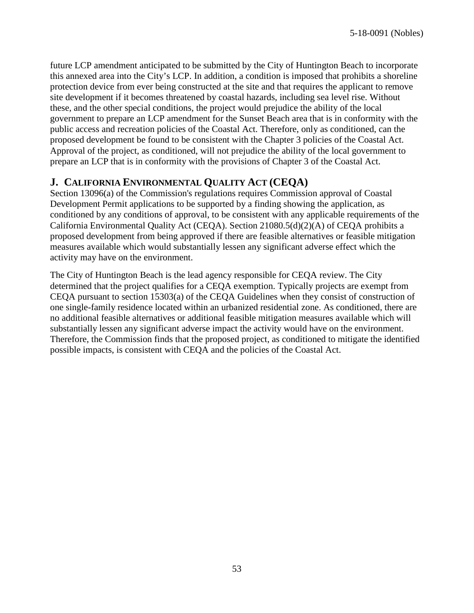future LCP amendment anticipated to be submitted by the City of Huntington Beach to incorporate this annexed area into the City's LCP. In addition, a condition is imposed that prohibits a shoreline protection device from ever being constructed at the site and that requires the applicant to remove site development if it becomes threatened by coastal hazards, including sea level rise. Without these, and the other special conditions, the project would prejudice the ability of the local government to prepare an LCP amendment for the Sunset Beach area that is in conformity with the public access and recreation policies of the Coastal Act. Therefore, only as conditioned, can the proposed development be found to be consistent with the Chapter 3 policies of the Coastal Act. Approval of the project, as conditioned, will not prejudice the ability of the local government to prepare an LCP that is in conformity with the provisions of Chapter 3 of the Coastal Act.

## **J. CALIFORNIA ENVIRONMENTAL QUALITY ACT (CEQA)**

Section 13096(a) of the Commission's regulations requires Commission approval of Coastal Development Permit applications to be supported by a finding showing the application, as conditioned by any conditions of approval, to be consistent with any applicable requirements of the California Environmental Quality Act (CEQA). Section 21080.5(d)(2)(A) of CEQA prohibits a proposed development from being approved if there are feasible alternatives or feasible mitigation measures available which would substantially lessen any significant adverse effect which the activity may have on the environment.

The City of Huntington Beach is the lead agency responsible for CEQA review. The City determined that the project qualifies for a CEQA exemption. Typically projects are exempt from CEQA pursuant to section 15303(a) of the CEQA Guidelines when they consist of construction of one single-family residence located within an urbanized residential zone. As conditioned, there are no additional feasible alternatives or additional feasible mitigation measures available which will substantially lessen any significant adverse impact the activity would have on the environment. Therefore, the Commission finds that the proposed project, as conditioned to mitigate the identified possible impacts, is consistent with CEQA and the policies of the Coastal Act.